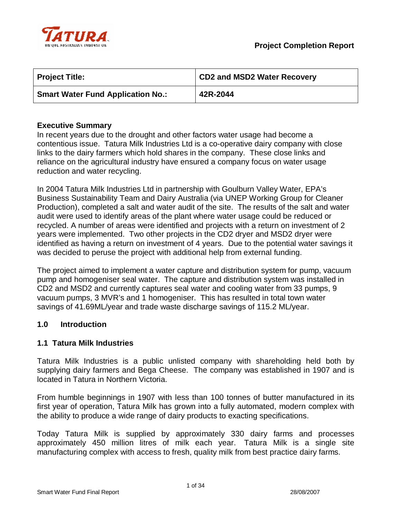

| <b>Project Title:</b>                    | <b>CD2 and MSD2 Water Recovery</b> |
|------------------------------------------|------------------------------------|
| <b>Smart Water Fund Application No.:</b> | 42R-2044                           |

## **Executive Summary**

In recent years due to the drought and other factors water usage had become a contentious issue. Tatura Milk Industries Ltd is a co-operative dairy company with close links to the dairy farmers which hold shares in the company. These close links and reliance on the agricultural industry have ensured a company focus on water usage reduction and water recycling.

In 2004 Tatura Milk Industries Ltd in partnership with Goulburn Valley Water, EPA's Business Sustainability Team and Dairy Australia (via UNEP Working Group for Cleaner Production), completed a salt and water audit of the site. The results of the salt and water audit were used to identify areas of the plant where water usage could be reduced or recycled. A number of areas were identified and projects with a return on investment of 2 years were implemented. Two other projects in the CD2 dryer and MSD2 dryer were identified as having a return on investment of 4 years. Due to the potential water savings it was decided to peruse the project with additional help from external funding.

The project aimed to implement a water capture and distribution system for pump, vacuum pump and homogeniser seal water. The capture and distribution system was installed in CD2 and MSD2 and currently captures seal water and cooling water from 33 pumps, 9 vacuum pumps, 3 MVR's and 1 homogeniser. This has resulted in total town water savings of 41.69ML/year and trade waste discharge savings of 115.2 ML/year.

### **1.0 Introduction**

### **1.1 Tatura Milk Industries**

Tatura Milk Industries is a public unlisted company with shareholding held both by supplying dairy farmers and Bega Cheese. The company was established in 1907 and is located in Tatura in Northern Victoria.

From humble beginnings in 1907 with less than 100 tonnes of butter manufactured in its first year of operation, Tatura Milk has grown into a fully automated, modern complex with the ability to produce a wide range of dairy products to exacting specifications.

Today Tatura Milk is supplied by approximately 330 dairy farms and processes approximately 450 million litres of milk each year. Tatura Milk is a single site manufacturing complex with access to fresh, quality milk from best practice dairy farms.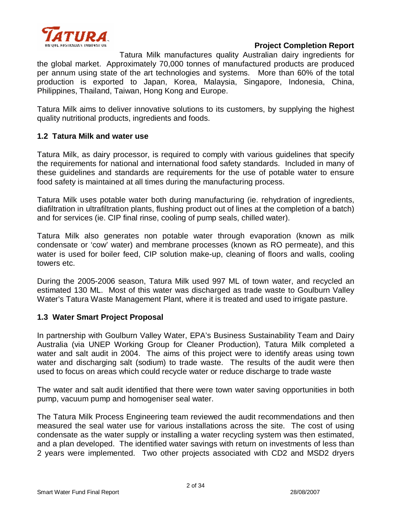

Tatura Milk manufactures quality Australian dairy ingredients for the global market. Approximately 70,000 tonnes of manufactured products are produced per annum using state of the art technologies and systems. More than 60% of the total production is exported to Japan, Korea, Malaysia, Singapore, Indonesia, China, Philippines, Thailand, Taiwan, Hong Kong and Europe.

Tatura Milk aims to deliver innovative solutions to its customers, by supplying the highest quality nutritional products, ingredients and foods.

## **1.2 Tatura Milk and water use**

Tatura Milk, as dairy processor, is required to comply with various guidelines that specify the requirements for national and international food safety standards. Included in many of these guidelines and standards are requirements for the use of potable water to ensure food safety is maintained at all times during the manufacturing process.

Tatura Milk uses potable water both during manufacturing (ie. rehydration of ingredients, diafiltration in ultrafiltration plants, flushing product out of lines at the completion of a batch) and for services (ie. CIP final rinse, cooling of pump seals, chilled water).

Tatura Milk also generates non potable water through evaporation (known as milk condensate or 'cow' water) and membrane processes (known as RO permeate), and this water is used for boiler feed, CIP solution make-up, cleaning of floors and walls, cooling towers etc.

During the 2005-2006 season, Tatura Milk used 997 ML of town water, and recycled an estimated 130 ML. Most of this water was discharged as trade waste to Goulburn Valley Water's Tatura Waste Management Plant, where it is treated and used to irrigate pasture.

## **1.3 Water Smart Project Proposal**

In partnership with Goulburn Valley Water, EPA's Business Sustainability Team and Dairy Australia (via UNEP Working Group for Cleaner Production), Tatura Milk completed a water and salt audit in 2004. The aims of this project were to identify areas using town water and discharging salt (sodium) to trade waste. The results of the audit were then used to focus on areas which could recycle water or reduce discharge to trade waste

The water and salt audit identified that there were town water saving opportunities in both pump, vacuum pump and homogeniser seal water.

The Tatura Milk Process Engineering team reviewed the audit recommendations and then measured the seal water use for various installations across the site. The cost of using condensate as the water supply or installing a water recycling system was then estimated, and a plan developed. The identified water savings with return on investments of less than 2 years were implemented. Two other projects associated with CD2 and MSD2 dryers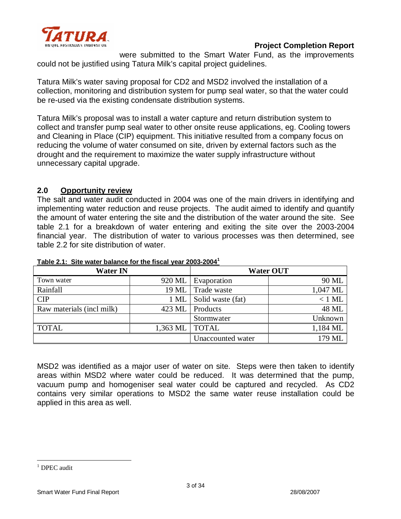

were submitted to the Smart Water Fund, as the improvements could not be justified using Tatura Milk's capital project guidelines.

Tatura Milk's water saving proposal for CD2 and MSD2 involved the installation of a collection, monitoring and distribution system for pump seal water, so that the water could be re-used via the existing condensate distribution systems.

Tatura Milk's proposal was to install a water capture and return distribution system to collect and transfer pump seal water to other onsite reuse applications, eg. Cooling towers and Cleaning in Place (CIP) equipment. This initiative resulted from a company focus on reducing the volume of water consumed on site, driven by external factors such as the drought and the requirement to maximize the water supply infrastructure without unnecessary capital upgrade.

## **2.0 Opportunity review**

The salt and water audit conducted in 2004 was one of the main drivers in identifying and implementing water reduction and reuse projects. The audit aimed to identify and quantify the amount of water entering the site and the distribution of the water around the site. See table 2.1 for a breakdown of water entering and exiting the site over the 2003-2004 financial year. The distribution of water to various processes was then determined, see table 2.2 for site distribution of water.

| <b>Water IN</b>           |                      |                   | <b>Water OUT</b> |
|---------------------------|----------------------|-------------------|------------------|
| Town water                | 920 ML               | Evaporation       | 90 ML            |
| Rainfall                  | 19 ML                | Trade waste       | 1,047 ML         |
| <b>CIP</b>                | $1$ ML               | Solid waste (fat) | $<$ 1 ML         |
| Raw materials (incl milk) | 423 ML               | Products          | 48 ML            |
|                           |                      | Stormwater        | Unknown          |
| <b>TOTAL</b>              | $1,363 \, \text{ML}$ | <b>TOTAL</b>      | 1,184 ML         |
|                           |                      | Unaccounted water | 179 ML           |

**Table 2.1: Site water balance for the fiscal year 2003-2004<sup>1</sup>**

MSD2 was identified as a major user of water on site. Steps were then taken to identify areas within MSD2 where water could be reduced. It was determined that the pump, vacuum pump and homogeniser seal water could be captured and recycled. As CD2 contains very similar operations to MSD2 the same water reuse installation could be applied in this area as well.

 $\overline{a}$  $1$  DPEC audit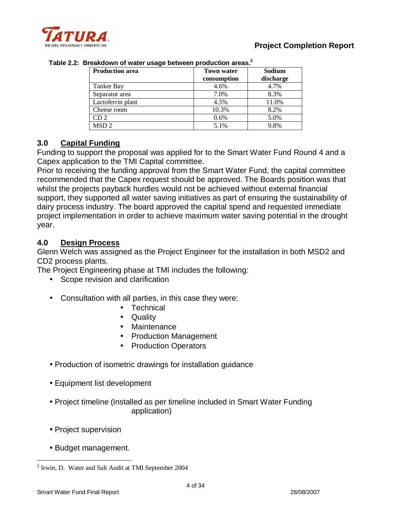

| <b>Production area</b> | <b>Town water</b><br>consumption | Sodium<br>discharge |
|------------------------|----------------------------------|---------------------|
| <b>Tanker Bay</b>      | 4.6%                             | 4.7%                |
| Separator area         | 7.0%                             | 8.3%                |
| Lactoferrin plant      | 4.5%                             | 11.0%               |
| Cheese room            | 10.3%                            | 8.2%                |
| CD <sub>2</sub>        | 0.6%                             | 5.0%                |
| MSD <sub>2</sub>       | 5.1%                             | 9.8%                |

**Table 2.2: Breakdown of water usage between production areas.<sup>2</sup>**

## **3.0 Capital Funding**

Funding to support the proposal was applied for to the Smart Water Fund Round 4 and a Capex application to the TMI Capital committee.

Prior to receiving the funding approval from the Smart Water Fund, the capital committee recommended that the Capex request should be approved. The Boards position was that whilst the projects payback hurdles would not be achieved without external financial support, they supported all water saving initiatives as part of ensuring the sustainability of dairy process industry. The board approved the capital spend and requested immediate project implementation in order to achieve maximum water saving potential in the drought year.

## **4.0 Design Process**

Glenn Welch was assigned as the Project Engineer for the installation in both MSD2 and CD2 process plants.

The Project Engineering phase at TMI includes the following:

- Scope revision and clarification
- Consultation with all parties, in this case they were:
	- Technical
	- Quality
	- Maintenance
	- Production Management
	- Production Operators
- Production of isometric drawings for installation guidance
- Equipment list development
- Project timeline (installed as per timeline included in Smart Water Funding application)
- Project supervision
- Budget management.

 $\overline{a}$ <sup>2</sup> Irwin, D. Water and Salt Audit at TMI September 2004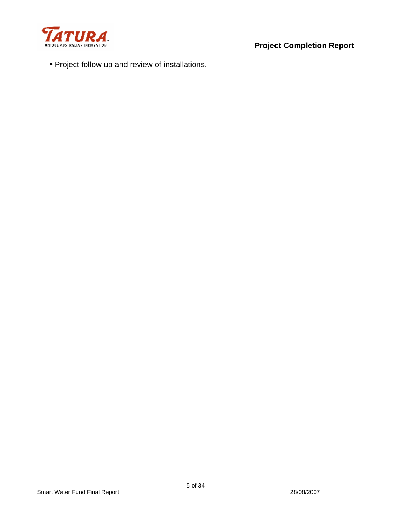

• Project follow up and review of installations.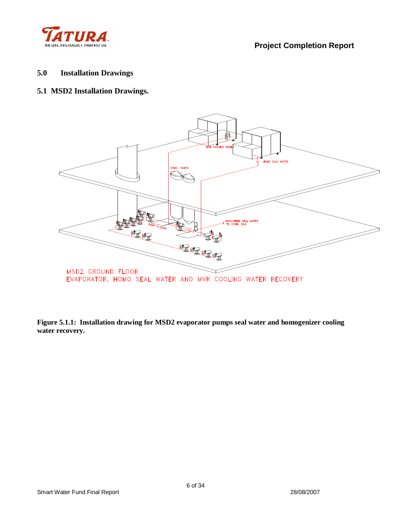

## **5.0 Installation Drawings**

## **5.1 MSD2 Installation Drawings.**



**Figure 5.1.1: Installation drawing for MSD2 evaporator pumps seal water and homogenizer cooling water recovery.**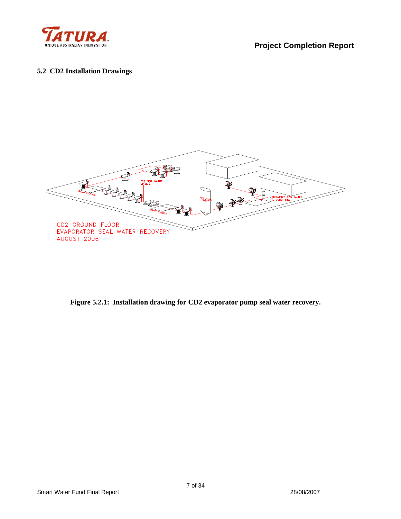

#### **5.2 CD2 Installation Drawings**



**Figure 5.2.1: Installation drawing for CD2 evaporator pump seal water recovery.**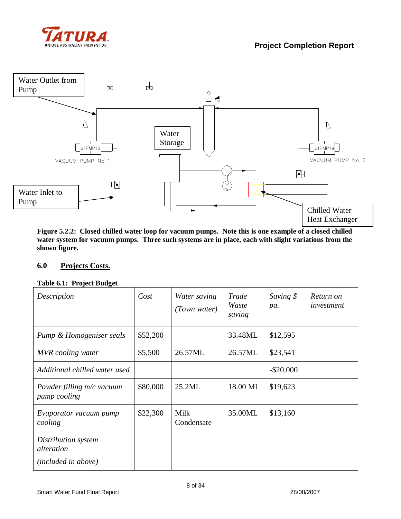



**Figure 5.2.2: Closed chilled water loop for vacuum pumps. Note this is one example of a closed chilled water system for vacuum pumps. Three such systems are in place, each with slight variations from the shown figure.** 

### **6.0 Projects Costs.**

#### **Table 6.1: Project Budget**

| Description                                              | Cost     | Water saving<br>(Town water) | Trade<br>Waste<br>saving | Saving \$<br>pa. | Return on<br>investment |
|----------------------------------------------------------|----------|------------------------------|--------------------------|------------------|-------------------------|
| Pump & Homogeniser seals                                 | \$52,200 |                              | 33.48ML                  | \$12,595         |                         |
| <b>MVR</b> cooling water                                 | \$5,500  | 26.57ML                      | 26.57ML                  | \$23,541         |                         |
| Additional chilled water used                            |          |                              |                          | $-$ \$20,000     |                         |
| Powder filling m/c vacuum<br>pump cooling                | \$80,000 | 25.2ML                       | 18.00 ML                 | \$19,623         |                         |
| Evaporator vacuum pump<br>cooling                        | \$22,300 | Milk<br>Condensate           | 35.00ML                  | \$13,160         |                         |
| Distribution system<br>alteration<br>(included in above) |          |                              |                          |                  |                         |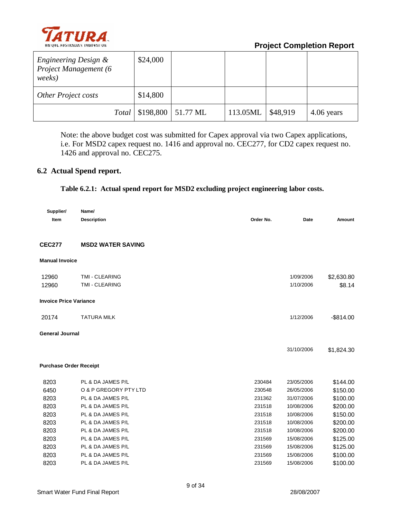

| Engineering Design &<br>Project Management (6<br>weeks) | \$24,000                            |          |          |            |
|---------------------------------------------------------|-------------------------------------|----------|----------|------------|
| <b>Other Project costs</b>                              | \$14,800                            |          |          |            |
|                                                         | <i>Total</i>   \$198,800   51.77 ML | 113.05ML | \$48,919 | 4.06 years |

Note: the above budget cost was submitted for Capex approval via two Capex applications, i.e. For MSD2 capex request no. 1416 and approval no. CEC277, for CD2 capex request no. 1426 and approval no. CEC275.

## **6.2 Actual Spend report.**

#### **Table 6.2.1: Actual spend report for MSD2 excluding project engineering labor costs.**

| Supplier/                     | Name/                    |           |            |              |
|-------------------------------|--------------------------|-----------|------------|--------------|
| Item                          | <b>Description</b>       | Order No. | Date       | Amount       |
| <b>CEC277</b>                 | <b>MSD2 WATER SAVING</b> |           |            |              |
| <b>Manual Invoice</b>         |                          |           |            |              |
| 12960                         | TMI - CLEARING           |           | 1/09/2006  | \$2,630.80   |
| 12960                         | TMI - CLEARING           |           | 1/10/2006  | \$8.14       |
| <b>Invoice Price Variance</b> |                          |           |            |              |
| 20174                         | <b>TATURA MILK</b>       |           | 1/12/2006  | $-$ \$814.00 |
| <b>General Journal</b>        |                          |           |            |              |
|                               |                          |           | 31/10/2006 | \$1,824.30   |
| <b>Purchase Order Receipt</b> |                          |           |            |              |
| 8203                          | PL & DA JAMES P/L        | 230484    | 23/05/2006 | \$144.00     |
| 6450                          | O & P GREGORY PTY LTD    | 230548    | 26/05/2006 | \$150.00     |
| 8203                          | PL & DA JAMES P/L        | 231362    | 31/07/2006 | \$100.00     |
| 8203                          | PL & DA JAMES P/L        | 231518    | 10/08/2006 | \$200.00     |
| 8203                          | PL & DA JAMES P/L        | 231518    | 10/08/2006 | \$150.00     |
| 8203                          | PL & DA JAMES P/L        | 231518    | 10/08/2006 | \$200.00     |
| 8203                          | PL & DA JAMES P/L        | 231518    | 10/08/2006 | \$200.00     |
| 8203                          | PL & DA JAMES P/L        | 231569    | 15/08/2006 | \$125.00     |
| 8203                          | PL & DA JAMES P/L        | 231569    | 15/08/2006 | \$125.00     |
| 8203                          | PL & DA JAMES P/L        | 231569    | 15/08/2006 | \$100.00     |
| 8203                          | PL & DA JAMES P/L        | 231569    | 15/08/2006 | \$100.00     |
|                               |                          |           |            |              |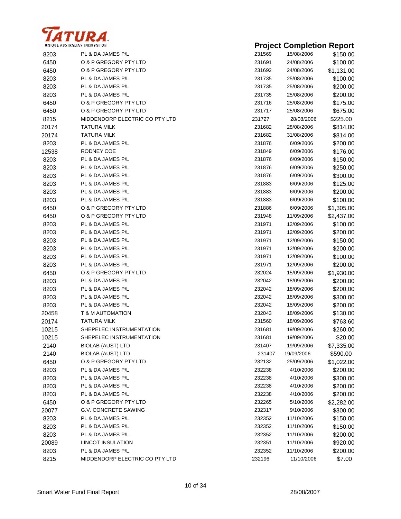

| UNIQUE AUSTRALIAN INNOVATION |                                |        | <b>Project Completion Report</b> |            |
|------------------------------|--------------------------------|--------|----------------------------------|------------|
| 8203                         | PL & DA JAMES P/L              | 231569 | 15/08/2006                       | \$150.00   |
| 6450                         | O & P GREGORY PTY LTD          | 231691 | 24/08/2006                       | \$100.00   |
| 6450                         | O & P GREGORY PTY LTD          | 231692 | 24/08/2006                       | \$1,131.00 |
| 8203                         | PL & DA JAMES P/L              | 231735 | 25/08/2006                       | \$100.00   |
| 8203                         | PL & DA JAMES P/L              | 231735 | 25/08/2006                       | \$200.00   |
| 8203                         | PL & DA JAMES P/L              | 231735 | 25/08/2006                       | \$200.00   |
| 6450                         | O & P GREGORY PTY LTD          | 231716 | 25/08/2006                       | \$175.00   |
| 6450                         | O & P GREGORY PTY LTD          | 231717 | 25/08/2006                       | \$675.00   |
| 8215                         | MIDDENDORP ELECTRIC CO PTY LTD | 231727 | 28/08/2006                       | \$225.00   |
| 20174                        | TATURA MILK                    | 231682 | 28/08/2006                       | \$814.00   |
| 20174                        | TATURA MILK                    | 231682 | 31/08/2006                       | \$814.00   |
| 8203                         | PL & DA JAMES P/L              | 231876 | 6/09/2006                        | \$200.00   |
| 12538                        | RODNEY COE                     | 231849 | 6/09/2006                        | \$176.00   |
| 8203                         | PL & DA JAMES P/L              | 231876 | 6/09/2006                        | \$150.00   |
| 8203                         | PL & DA JAMES P/L              | 231876 | 6/09/2006                        | \$250.00   |
| 8203                         | PL & DA JAMES P/L              | 231876 | 6/09/2006                        | \$300.00   |
| 8203                         | PL & DA JAMES P/L              | 231883 | 6/09/2006                        | \$125.00   |
| 8203                         | PL & DA JAMES P/L              | 231883 | 6/09/2006                        | \$200.00   |
| 8203                         | PL & DA JAMES P/L              | 231883 | 6/09/2006                        | \$100.00   |
| 6450                         | O & P GREGORY PTY LTD          | 231886 | 6/09/2006                        | \$1,305.00 |
| 6450                         | O & P GREGORY PTY LTD          | 231948 | 11/09/2006                       | \$2,437.00 |
| 8203                         | PL & DA JAMES P/L              | 231971 | 12/09/2006                       | \$100.00   |
| 8203                         | PL & DA JAMES P/L              | 231971 | 12/09/2006                       | \$200.00   |
| 8203                         | PL & DA JAMES P/L              | 231971 | 12/09/2006                       | \$150.00   |
| 8203                         | PL & DA JAMES P/L              | 231971 | 12/09/2006                       | \$200.00   |
| 8203                         | PL & DA JAMES P/L              | 231971 | 12/09/2006                       | \$100.00   |
| 8203                         | PL & DA JAMES P/L              | 231971 | 12/09/2006                       | \$200.00   |
| 6450                         | O & P GREGORY PTY LTD          | 232024 | 15/09/2006                       | \$1,930.00 |
| 8203                         | PL & DA JAMES P/L              | 232042 | 18/09/2006                       | \$200.00   |
| 8203                         | PL & DA JAMES P/L              | 232042 | 18/09/2006                       | \$200.00   |
| 8203                         | PL & DA JAMES P/L              | 232042 | 18/09/2006                       | \$300.00   |
| 8203                         | PL & DA JAMES P/L              | 232042 | 18/09/2006                       | \$200.00   |
| 20458                        | T & M AUTOMATION               | 232043 | 18/09/2006                       | \$130.00   |
| 20174                        | <b>TATURA MILK</b>             | 231560 | 18/09/2006                       | \$763.60   |
| 10215                        | SHEPELEC INSTRUMENTATION       | 231681 | 19/09/2006                       | \$260.00   |
| 10215                        | SHEPELEC INSTRUMENTATION       | 231681 | 19/09/2006                       | \$20.00    |
| 2140                         | <b>BIOLAB (AUST) LTD</b>       | 231407 | 19/09/2006                       | \$7,335.00 |
| 2140                         | <b>BIOLAB (AUST) LTD</b>       | 231407 | 19/09/2006                       | \$590.00   |
| 6450                         | O & P GREGORY PTY LTD          | 232132 | 25/09/2006                       | \$1,022.00 |
| 8203                         | PL & DA JAMES P/L              | 232238 | 4/10/2006                        | \$200.00   |
| 8203                         | PL & DA JAMES P/L              | 232238 | 4/10/2006                        | \$300.00   |
| 8203                         | PL & DA JAMES P/L              | 232238 | 4/10/2006                        | \$200.00   |
| 8203                         | PL & DA JAMES P/L              | 232238 | 4/10/2006                        | \$200.00   |
| 6450                         | O & P GREGORY PTY LTD          | 232265 | 5/10/2006                        | \$2,282.00 |
| 20077                        | <b>G.V. CONCRETE SAWING</b>    | 232317 | 9/10/2006                        | \$300.00   |
| 8203                         | PL & DA JAMES P/L              | 232352 | 11/10/2006                       | \$150.00   |
| 8203                         | PL & DA JAMES P/L              | 232352 | 11/10/2006                       | \$150.00   |
| 8203                         | PL & DA JAMES P/L              | 232352 | 11/10/2006                       | \$200.00   |
| 20089                        | <b>LINCOT INSULATION</b>       | 232351 | 11/10/2006                       | \$920.00   |
| 8203                         | PL & DA JAMES P/L              | 232352 | 11/10/2006                       | \$200.00   |
| 8215                         | MIDDENDORP ELECTRIC CO PTY LTD | 232196 | 11/10/2006                       | \$7.00     |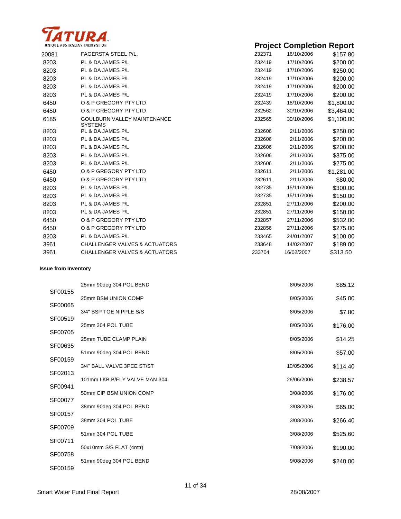

|       | UNIQUE AUSTRALIAN INNOVATION                         |        | <b>Project Completion Report</b> |            |
|-------|------------------------------------------------------|--------|----------------------------------|------------|
| 20081 | <b>FAGERSTA STEEL P/L.</b>                           | 232371 | 16/10/2006                       | \$157.80   |
| 8203  | PL & DA JAMES P/L                                    | 232419 | 17/10/2006                       | \$200.00   |
| 8203  | PL & DA JAMES P/L                                    | 232419 | 17/10/2006                       | \$250.00   |
| 8203  | PL & DA JAMES P/L                                    | 232419 | 17/10/2006                       | \$200.00   |
| 8203  | PL & DA JAMES P/L                                    | 232419 | 17/10/2006                       | \$200.00   |
| 8203  | PL & DA JAMES P/L                                    | 232419 | 17/10/2006                       | \$200.00   |
| 6450  | O & P GREGORY PTY LTD                                | 232439 | 18/10/2006                       | \$1,800.00 |
| 6450  | O & P GREGORY PTY LTD                                | 232562 | 30/10/2006                       | \$3,464.00 |
| 6185  | <b>GOULBURN VALLEY MAINTENANCE</b><br><b>SYSTEMS</b> | 232565 | 30/10/2006                       | \$1,100.00 |
| 8203  | PL & DA JAMES P/L                                    | 232606 | 2/11/2006                        | \$250.00   |
| 8203  | PL & DA JAMES P/L                                    | 232606 | 2/11/2006                        | \$200.00   |
| 8203  | PL & DA JAMES P/L                                    | 232606 | 2/11/2006                        | \$200.00   |
| 8203  | PL & DA JAMES P/L                                    | 232606 | 2/11/2006                        | \$375.00   |
| 8203  | PL & DA JAMES P/L                                    | 232606 | 2/11/2006                        | \$275.00   |
| 6450  | O & P GREGORY PTY LTD                                | 232611 | 2/11/2006                        | \$1,281.00 |
| 6450  | O & P GREGORY PTY LTD                                | 232611 | 2/11/2006                        | \$80.00    |
| 8203  | PL & DA JAMES P/L                                    | 232735 | 15/11/2006                       | \$300.00   |
| 8203  | PL & DA JAMES P/L                                    | 232735 | 15/11/2006                       | \$150.00   |
| 8203  | PL & DA JAMES P/L                                    | 232851 | 27/11/2006                       | \$200.00   |
| 8203  | PL & DA JAMES P/L                                    | 232851 | 27/11/2006                       | \$150.00   |
| 6450  | O & P GREGORY PTY LTD                                | 232857 | 27/11/2006                       | \$532.00   |
| 6450  | O & P GREGORY PTY LTD                                | 232856 | 27/11/2006                       | \$275.00   |
| 8203  | PL & DA JAMES P/L                                    | 233465 | 24/01/2007                       | \$100.00   |
| 3961  | <b>CHALLENGER VALVES &amp; ACTUATORS</b>             | 233648 | 14/02/2007                       | \$189.00   |
| 3961  | <b>CHALLENGER VALVES &amp; ACTUATORS</b>             | 233704 | 16/02/2007                       | \$313.50   |

#### **Issue from Inventory**

|         | 25mm 90deg 304 POL BEND       | 8/05/2006  | \$85.12  |
|---------|-------------------------------|------------|----------|
| SF00155 | 25mm BSM UNION COMP           | 8/05/2006  | \$45.00  |
| SF00065 | 3/4" BSP TOE NIPPLE S/S       | 8/05/2006  | \$7.80   |
| SF00519 | 25mm 304 POL TUBE             | 8/05/2006  | \$176.00 |
| SF00705 | 25mm TUBE CLAMP PLAIN         | 8/05/2006  | \$14.25  |
| SF00635 | 51mm 90deg 304 POL BEND       | 8/05/2006  | \$57.00  |
| SF00159 | 3/4" BALL VALVE 3PCE ST/ST    | 10/05/2006 | \$114.40 |
| SF02013 | 101mm LKB B/FLY VALVE MAN 304 | 26/06/2006 | \$238.57 |
| SF00941 | 50mm CIP BSM UNION COMP       | 3/08/2006  | \$176.00 |
| SF00077 | 38mm 90deg 304 POL BEND       | 3/08/2006  | \$65.00  |
| SF00157 | 38mm 304 POL TUBE             | 3/08/2006  | \$266.40 |
| SF00709 | 51mm 304 POL TUBE             | 3/08/2006  | \$525.60 |
| SF00711 | 50x10mm S/S FLAT (4mtr)       | 7/08/2006  | \$190.00 |
| SF00758 | 51mm 90deg 304 POL BEND       | 9/08/2006  | \$240.00 |
| SF00159 |                               |            |          |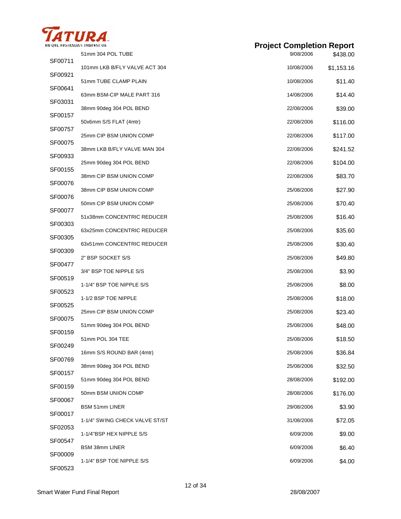

|  | <b>Project Completion Report</b> |  |
|--|----------------------------------|--|
|--|----------------------------------|--|

| SF00711 | 51mm 304 POL TUBE              | 9/08/2006  | \$438.00   |
|---------|--------------------------------|------------|------------|
|         | 101mm LKB B/FLY VALVE ACT 304  | 10/08/2006 | \$1,153.16 |
| SF00921 | 51mm TUBE CLAMP PLAIN          | 10/08/2006 | \$11.40    |
| SF00641 | 63mm BSM-CIP MALE PART 316     | 14/08/2006 | \$14.40    |
| SF03031 | 38mm 90deg 304 POL BEND        | 22/08/2006 | \$39.00    |
| SF00157 | 50x6mm S/S FLAT (4mtr)         | 22/08/2006 | \$116.00   |
| SF00757 | 25mm CIP BSM UNION COMP        | 22/08/2006 | \$117.00   |
| SF00075 | 38mm LKB B/FLY VALVE MAN 304   | 22/08/2006 | \$241.52   |
| SF00933 | 25mm 90deg 304 POL BEND        | 22/08/2006 | \$104.00   |
| SF00155 | 38mm CIP BSM UNION COMP        | 22/08/2006 | \$83.70    |
| SF00076 | 38mm CIP BSM UNION COMP        | 25/08/2006 | \$27.90    |
| SF00076 | 50mm CIP BSM UNION COMP        | 25/08/2006 | \$70.40    |
| SF00077 | 51x38mm CONCENTRIC REDUCER     | 25/08/2006 | \$16.40    |
| SF00303 | 63x25mm CONCENTRIC REDUCER     | 25/08/2006 | \$35.60    |
| SF00305 | 63x51mm CONCENTRIC REDUCER     | 25/08/2006 | \$30.40    |
| SF00309 | 2" BSP SOCKET S/S              | 25/08/2006 | \$49.80    |
| SF00477 | 3/4" BSP TOE NIPPLE S/S        | 25/08/2006 | \$3.90     |
| SF00519 | 1-1/4" BSP TOE NIPPLE S/S      | 25/08/2006 | \$8.00     |
| SF00523 | 1-1/2 BSP TOE NIPPLE           | 25/08/2006 | \$18.00    |
| SF00525 | 25mm CIP BSM UNION COMP        | 25/08/2006 | \$23.40    |
| SF00075 | 51mm 90deg 304 POL BEND        | 25/08/2006 | \$48.00    |
| SF00159 | 51mm POL 304 TEE               | 25/08/2006 | \$18.50    |
| SF00249 | 16mm S/S ROUND BAR (4mtr)      | 25/08/2006 | \$36.84    |
| SF00769 | 38mm 90deg 304 POL BEND        | 25/08/2006 | \$32.50    |
| SF00157 | 51mm 90deg 304 POL BEND        | 28/08/2006 | \$192.00   |
| SF00159 | 50mm BSM UNION COMP            | 28/08/2006 | \$176.00   |
| SF00067 | <b>BSM 51mm LINER</b>          | 29/08/2006 | \$3.90     |
| SF00017 | 1-1/4" SWING CHECK VALVE ST/ST | 31/08/2006 | \$72.05    |
| SF02053 | 1-1/4"BSP HEX NIPPLE S/S       | 6/09/2006  | \$9.00     |
| SF00547 | <b>BSM 38mm LINER</b>          | 6/09/2006  | \$6.40     |
| SF00009 |                                | 6/09/2006  |            |
| SF00523 | 1-1/4" BSP TOE NIPPLE S/S      |            | \$4.00     |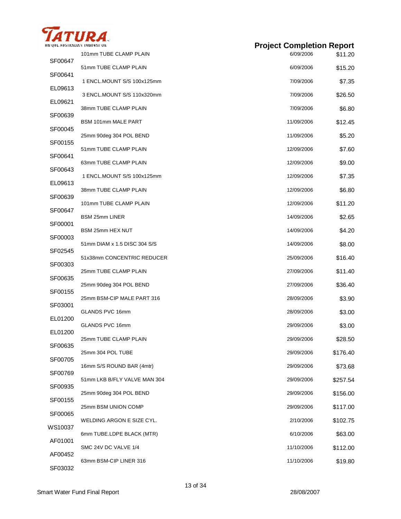

| NIQUE AUSTRALIAN INNOVATION |                              | <b>Project Completion Report</b> |          |
|-----------------------------|------------------------------|----------------------------------|----------|
| SF00647                     | 101mm TUBE CLAMP PLAIN       | 6/09/2006                        | \$11.20  |
| SF00641                     | 51mm TUBE CLAMP PLAIN        | 6/09/2006                        | \$15.20  |
|                             | 1 ENCL.MOUNT S/S 100x125mm   | 7/09/2006                        | \$7.35   |
| EL09613                     | 3 ENCL.MOUNT S/S 110x320mm   | 7/09/2006                        | \$26.50  |
| EL09621                     | 38mm TUBE CLAMP PLAIN        | 7/09/2006                        | \$6.80   |
| SF00639                     | <b>BSM 101mm MALE PART</b>   | 11/09/2006                       | \$12.45  |
| SF00045                     | 25mm 90deg 304 POL BEND      | 11/09/2006                       | \$5.20   |
| SF00155                     | 51mm TUBE CLAMP PLAIN        | 12/09/2006                       | \$7.60   |
| SF00641                     | 63mm TUBE CLAMP PLAIN        | 12/09/2006                       | \$9.00   |
| SF00643                     | 1 ENCL.MOUNT S/S 100x125mm   | 12/09/2006                       | \$7.35   |
| EL09613                     | 38mm TUBE CLAMP PLAIN        | 12/09/2006                       | \$6.80   |
| SF00639                     | 101mm TUBE CLAMP PLAIN       | 12/09/2006                       | \$11.20  |
| SF00647                     | BSM 25mm LINER               | 14/09/2006                       | \$2.65   |
| SF00001                     | <b>BSM 25mm HEX NUT</b>      | 14/09/2006                       | \$4.20   |
| SF00003                     | 51mm DIAM x 1.5 DISC 304 S/S | 14/09/2006                       | \$8.00   |
| SF02545                     |                              |                                  |          |
| SF00303                     | 51x38mm CONCENTRIC REDUCER   | 25/09/2006                       | \$16.40  |
| SF00635                     | 25mm TUBE CLAMP PLAIN        | 27/09/2006                       | \$11.40  |
| SF00155                     | 25mm 90deg 304 POL BEND      | 27/09/2006                       | \$36.40  |
| SF03001                     | 25mm BSM-CIP MALE PART 316   | 28/09/2006                       | \$3.90   |
| EL01200                     | GLANDS PVC 16mm              | 28/09/2006                       | \$3.00   |
| EL01200                     | GLANDS PVC 16mm              | 29/09/2006                       | \$3.00   |
| SF00635                     | 25mm TUBE CLAMP PLAIN        | 29/09/2006                       | \$28.50  |
|                             | 25mm 304 POL TUBE            | 29/09/2006                       | \$176.40 |
| SF00705                     | 16mm S/S ROUND BAR (4mtr)    | 29/09/2006                       | \$73.68  |
| SF00769                     | 51mm LKB B/FLY VALVE MAN 304 | 29/09/2006                       | \$257.54 |
| SF00935                     | 25mm 90deg 304 POL BEND      | 29/09/2006                       | \$156.00 |
| SF00155                     | 25mm BSM UNION COMP          | 29/09/2006                       | \$117.00 |
| SF00065                     | WELDING ARGON E SIZE CYL.    | 2/10/2006                        | \$102.75 |
| WS10037                     | 6mm TUBE.LDPE BLACK (MTR)    | 6/10/2006                        | \$63.00  |
| AF01001                     | SMC 24V DC VALVE 1/4         | 11/10/2006                       | \$112.00 |
| AF00452                     | 63mm BSM-CIP LINER 316       | 11/10/2006                       | \$19.80  |

SF03032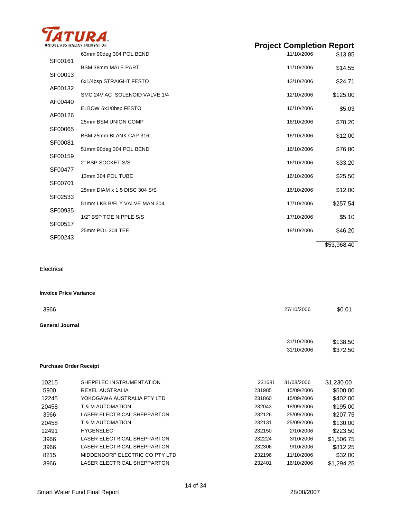

| INFOUL AUSTRALIAN INNOVATION |                               | <b>Project Completion Report</b> |             |
|------------------------------|-------------------------------|----------------------------------|-------------|
| SF00161                      | 63mm 90deg 304 POL BEND       | 11/10/2006                       | \$13.85     |
| SF00013                      | <b>BSM 38mm MALE PART</b>     | 11/10/2006                       | \$14.55     |
|                              | 6x1/4bsp STRAIGHT FESTO       | 12/10/2006                       | \$24.71     |
| AF00132                      | SMC 24V AC SOLENOID VALVE 1/4 | 12/10/2006                       | \$125.00    |
| AF00440                      | ELBOW 6x1/8bsp FESTO          | 16/10/2006                       | \$5.03      |
| AF00126                      | 25mm BSM UNION COMP           | 16/10/2006                       | \$70.20     |
| SF00065                      | BSM 25mm BLANK CAP 316L       | 16/10/2006                       | \$12.00     |
| SF00081                      | 51mm 90deg 304 POL BEND       | 16/10/2006                       | \$76.80     |
| SF00159                      | 2" BSP SOCKET S/S             | 16/10/2006                       | \$33.20     |
| SF00477                      | 13mm 304 POL TUBE             | 16/10/2006                       | \$25.50     |
| SF00701                      | 25mm DIAM x 1.5 DISC 304 S/S  | 16/10/2006                       | \$12.00     |
| SF02533                      | 51mm LKB B/FLY VALVE MAN 304  | 17/10/2006                       | \$257.54    |
| SF00935                      |                               |                                  |             |
| SF00517                      | 1/2" BSP TOE NIPPLE S/S       | 17/10/2006                       | \$5.10      |
| SF00243                      | 25mm POL 304 TEE              | 18/10/2006                       | \$46.20     |
|                              |                               |                                  | \$53,968.40 |

Electrical

|                 | <b>Invoice Price Variance</b> |        |            |            |
|-----------------|-------------------------------|--------|------------|------------|
| 3966            |                               |        | 27/10/2006 | \$0.01     |
| General Journal |                               |        |            |            |
|                 |                               |        | 31/10/2006 | \$138.50   |
|                 |                               |        | 31/10/2006 | \$372.50   |
|                 | <b>Purchase Order Receipt</b> |        |            |            |
| 10215           | SHEPELEC INSTRUMENTATION      | 231681 | 31/08/2006 | \$1,230.00 |
| 5900            | <b>REXEL AUSTRALIA</b>        | 231985 | 15/09/2006 | \$500.00   |
| 12245           | YOKOGAWA AUSTRALIA PTY LTD    | 231860 | 15/09/2006 | \$402.00   |
| 20458           | <b>T &amp; M AUTOMATION</b>   | 232043 | 18/09/2006 | \$195.00   |
| 3966            | LASER ELECTRICAL SHEPPARTON   | 232126 | 25/09/2006 | \$207.75   |
| 20458           | <b>T &amp; M AUTOMATION</b>   | 232131 | 25/09/2006 | \$130.00   |

HYGENELEC 232150 2/10/2006 \$223.50 LASER ELECTRICAL SHEPPARTON 232224 3/10/2006 \$1,506.75 LASER ELECTRICAL SHEPPARTON 232306 9/10/2006 \$812.25 8215 MIDDENDORP ELECTRIC CO PTY LTD 232196 11/10/2006 \$32.00 LASER ELECTRICAL SHEPPARTON 232401 16/10/2006 \$1,294.25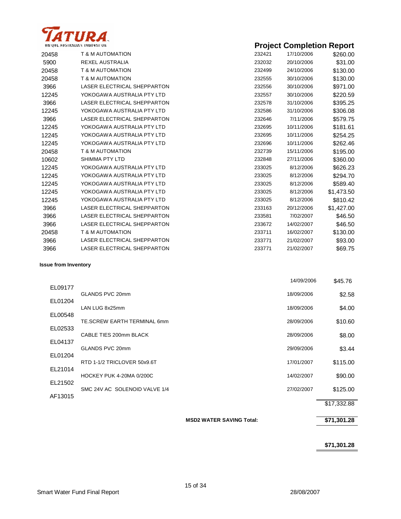

|       | UNIQUE AUSTRALIAN INNOVATION       |        | <b>Project Completion Report</b> |            |
|-------|------------------------------------|--------|----------------------------------|------------|
| 20458 | T & M AUTOMATION                   | 232421 | 17/10/2006                       | \$260.00   |
| 5900  | <b>REXEL AUSTRALIA</b>             | 232032 | 20/10/2006                       | \$31.00    |
| 20458 | <b>T &amp; M AUTOMATION</b>        | 232499 | 24/10/2006                       | \$130.00   |
| 20458 | T & M AUTOMATION                   | 232555 | 30/10/2006                       | \$130.00   |
| 3966  | <b>LASER ELECTRICAL SHEPPARTON</b> | 232556 | 30/10/2006                       | \$971.00   |
| 12245 | YOKOGAWA AUSTRALIA PTY LTD         | 232557 | 30/10/2006                       | \$220.59   |
| 3966  | LASER ELECTRICAL SHEPPARTON        | 232578 | 31/10/2006                       | \$395.25   |
| 12245 | YOKOGAWA AUSTRALIA PTY LTD         | 232586 | 31/10/2006                       | \$306.08   |
| 3966  | <b>LASER ELECTRICAL SHEPPARTON</b> | 232646 | 7/11/2006                        | \$579.75   |
| 12245 | YOKOGAWA AUSTRALIA PTY LTD         | 232695 | 10/11/2006                       | \$181.61   |
| 12245 | YOKOGAWA AUSTRALIA PTY LTD         | 232695 | 10/11/2006                       | \$254.25   |
| 12245 | YOKOGAWA AUSTRALIA PTY LTD         | 232696 | 10/11/2006                       | \$262.46   |
| 20458 | <b>T &amp; M AUTOMATION</b>        | 232739 | 15/11/2006                       | \$195.00   |
| 10602 | <b>SHIMMA PTY LTD</b>              | 232848 | 27/11/2006                       | \$360.00   |
| 12245 | YOKOGAWA AUSTRALIA PTY LTD         | 233025 | 8/12/2006                        | \$626.23   |
| 12245 | YOKOGAWA AUSTRALIA PTY LTD         | 233025 | 8/12/2006                        | \$294.70   |
| 12245 | YOKOGAWA AUSTRALIA PTY LTD         | 233025 | 8/12/2006                        | \$589.40   |
| 12245 | YOKOGAWA AUSTRALIA PTY LTD         | 233025 | 8/12/2006                        | \$1,473.50 |
| 12245 | YOKOGAWA AUSTRALIA PTY LTD         | 233025 | 8/12/2006                        | \$810.42   |
| 3966  | LASER ELECTRICAL SHEPPARTON        | 233163 | 20/12/2006                       | \$1,427.00 |
| 3966  | LASER ELECTRICAL SHEPPARTON        | 233581 | 7/02/2007                        | \$46.50    |
| 3966  | LASER ELECTRICAL SHEPPARTON        | 233672 | 14/02/2007                       | \$46.50    |
| 20458 | T & M AUTOMATION                   | 233711 | 16/02/2007                       | \$130.00   |
| 3966  | <b>LASER ELECTRICAL SHEPPARTON</b> | 233771 | 21/02/2007                       | \$93.00    |
| 3966  | LASER ELECTRICAL SHEPPARTON        | 233771 | 21/02/2007                       | \$69.75    |

#### **Issue from Inventory**

|         |                               | 14/09/2006 | \$45.76     |
|---------|-------------------------------|------------|-------------|
| EL09177 |                               |            |             |
| EL01204 | GLANDS PVC 20mm               | 18/09/2006 | \$2.58      |
|         | LAN LUG 8x25mm                | 18/09/2006 | \$4.00      |
| EL00548 | TE.SCREW EARTH TERMINAL 6mm   | 28/09/2006 | \$10.60     |
| EL02533 |                               |            |             |
| EL04137 | CABLE TIES 200mm BLACK        | 28/09/2006 | \$8.00      |
|         | GLANDS PVC 20mm               | 29/09/2006 | \$3.44      |
| EL01204 | RTD 1-1/2 TRICLOVER 50x9.6T   | 17/01/2007 | \$115.00    |
| EL21014 |                               |            |             |
| EL21502 | HOCKEY PUK 4-20MA 0/200C      | 14/02/2007 | \$90.00     |
|         | SMC 24V AC SOLENOID VALVE 1/4 | 27/02/2007 | \$125.00    |
| AF13015 |                               |            | \$17,332.88 |
|         |                               |            |             |

#### **MSD2 WATER SAVING Total: \$71,301.28**

**\$71,301.28**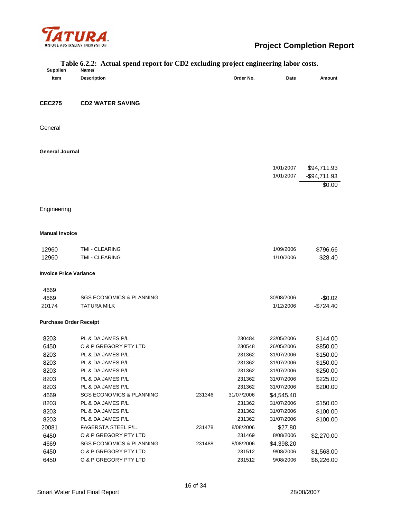

| $\alpha$ recuai spena report for $CDI$ exeribing project engineering noon costs.<br>Supplier/<br>Name/ |                                     |        |            |            |               |
|--------------------------------------------------------------------------------------------------------|-------------------------------------|--------|------------|------------|---------------|
| Item                                                                                                   | <b>Description</b>                  |        | Order No.  | Date       | Amount        |
|                                                                                                        |                                     |        |            |            |               |
| <b>CEC275</b>                                                                                          | <b>CD2 WATER SAVING</b>             |        |            |            |               |
|                                                                                                        |                                     |        |            |            |               |
| General                                                                                                |                                     |        |            |            |               |
| <b>General Journal</b>                                                                                 |                                     |        |            |            |               |
|                                                                                                        |                                     |        |            |            |               |
|                                                                                                        |                                     |        |            | 1/01/2007  | \$94,711.93   |
|                                                                                                        |                                     |        |            | 1/01/2007  | $-$94,711.93$ |
|                                                                                                        |                                     |        |            |            | \$0.00        |
|                                                                                                        |                                     |        |            |            |               |
|                                                                                                        |                                     |        |            |            |               |
| Engineering                                                                                            |                                     |        |            |            |               |
| <b>Manual Invoice</b>                                                                                  |                                     |        |            |            |               |
|                                                                                                        |                                     |        |            |            |               |
| 12960                                                                                                  | TMI - CLEARING                      |        |            | 1/09/2006  | \$796.66      |
| 12960                                                                                                  | TMI - CLEARING                      |        |            | 1/10/2006  | \$28.40       |
| <b>Invoice Price Variance</b>                                                                          |                                     |        |            |            |               |
| 4669                                                                                                   |                                     |        |            |            |               |
| 4669                                                                                                   | <b>SGS ECONOMICS &amp; PLANNING</b> |        |            | 30/08/2006 | $-$0.02$      |
| 20174                                                                                                  | <b>TATURA MILK</b>                  |        |            | 1/12/2006  | $-$724.40$    |
| <b>Purchase Order Receipt</b>                                                                          |                                     |        |            |            |               |
| 8203                                                                                                   | PL & DA JAMES P/L                   |        | 230484     | 23/05/2006 | \$144.00      |
| 6450                                                                                                   | O & P GREGORY PTY LTD               |        | 230548     | 26/05/2006 | \$850.00      |
| 8203                                                                                                   | PL & DA JAMES P/L                   |        | 231362     | 31/07/2006 | \$150.00      |
| 8203                                                                                                   | PL & DA JAMES P/L                   |        | 231362     | 31/07/2006 | \$150.00      |
| 8203                                                                                                   | PL & DA JAMES P/L                   |        | 231362     | 31/07/2006 | \$250.00      |
| 8203                                                                                                   | PL & DA JAMES P/L                   |        | 231362     | 31/07/2006 | \$225.00      |
| 8203                                                                                                   | PL & DA JAMES P/L                   |        | 231362     | 31/07/2006 | \$200.00      |
| 4669                                                                                                   | <b>SGS ECONOMICS &amp; PLANNING</b> | 231346 | 31/07/2006 | \$4,545.40 |               |
| 8203                                                                                                   | PL & DA JAMES P/L                   |        | 231362     | 31/07/2006 | \$150.00      |
| 8203                                                                                                   | PL & DA JAMES P/L                   |        | 231362     | 31/07/2006 | \$100.00      |
| 8203                                                                                                   | PL & DA JAMES P/L                   |        | 231362     | 31/07/2006 | \$100.00      |
| 20081                                                                                                  | FAGERSTA STEEL P/L.                 | 231478 | 8/08/2006  | \$27.80    |               |
| 6450                                                                                                   | O & P GREGORY PTY LTD               |        | 231469     | 8/08/2006  | \$2,270.00    |
| 4669                                                                                                   | <b>SGS ECONOMICS &amp; PLANNING</b> | 231488 | 8/08/2006  | \$4,398.20 |               |
| 6450                                                                                                   | O & P GREGORY PTY LTD               |        | 231512     | 9/08/2006  | \$1,568.00    |
| 6450                                                                                                   | O & P GREGORY PTY LTD               |        | 231512     | 9/08/2006  | \$6,226.00    |

## **Table 6.2.2: Actual spend report for CD2 excluding project engineering labor costs.**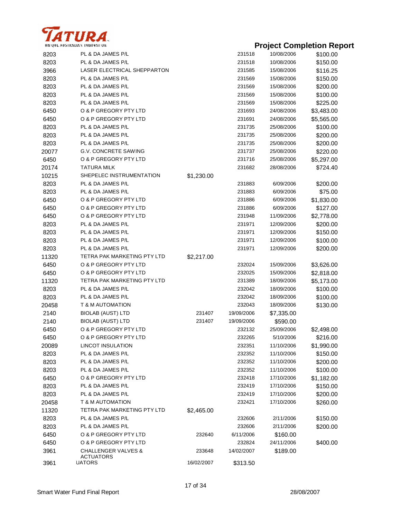

| 8203  | PL & DA JAMES P/L                 |            | 231518     | 10/08/2006 | \$100.00   |
|-------|-----------------------------------|------------|------------|------------|------------|
| 8203  | PL & DA JAMES P/L                 |            | 231518     | 10/08/2006 | \$150.00   |
| 3966  | LASER ELECTRICAL SHEPPARTON       |            | 231585     | 15/08/2006 | \$116.25   |
| 8203  | PL & DA JAMES P/L                 |            | 231569     | 15/08/2006 | \$150.00   |
| 8203  | PL & DA JAMES P/L                 |            | 231569     | 15/08/2006 | \$200.00   |
| 8203  | PL & DA JAMES P/L                 |            | 231569     | 15/08/2006 | \$100.00   |
| 8203  | PL & DA JAMES P/L                 |            | 231569     | 15/08/2006 | \$225.00   |
| 6450  | O & P GREGORY PTY LTD             |            | 231693     | 24/08/2006 | \$3,483.00 |
| 6450  | O & P GREGORY PTY LTD             |            | 231691     | 24/08/2006 | \$5,565.00 |
| 8203  | PL & DA JAMES P/L                 |            | 231735     | 25/08/2006 | \$100.00   |
| 8203  | PL & DA JAMES P/L                 |            | 231735     | 25/08/2006 | \$200.00   |
| 8203  | PL & DA JAMES P/L                 |            | 231735     | 25/08/2006 | \$200.00   |
| 20077 | <b>G.V. CONCRETE SAWING</b>       |            | 231737     | 25/08/2006 | \$220.00   |
| 6450  | O & P GREGORY PTY LTD             |            | 231716     | 25/08/2006 | \$5,297.00 |
| 20174 | <b>TATURA MILK</b>                |            | 231682     | 28/08/2006 | \$724.40   |
| 10215 | SHEPELEC INSTRUMENTATION          | \$1,230.00 |            |            |            |
| 8203  | PL & DA JAMES P/L                 |            | 231883     | 6/09/2006  | \$200.00   |
| 8203  | PL & DA JAMES P/L                 |            | 231883     | 6/09/2006  | \$75.00    |
| 6450  | O & P GREGORY PTY LTD             |            | 231886     | 6/09/2006  | \$1,830.00 |
| 6450  | O & P GREGORY PTY LTD             |            | 231886     | 6/09/2006  | \$127.00   |
| 6450  | O & P GREGORY PTY LTD             |            | 231948     | 11/09/2006 | \$2,778.00 |
| 8203  | PL & DA JAMES P/L                 |            | 231971     | 12/09/2006 | \$200.00   |
| 8203  | PL & DA JAMES P/L                 |            | 231971     | 12/09/2006 | \$150.00   |
| 8203  | PL & DA JAMES P/L                 |            | 231971     | 12/09/2006 | \$100.00   |
| 8203  | PL & DA JAMES P/L                 |            | 231971     | 12/09/2006 | \$200.00   |
| 11320 | TETRA PAK MARKETING PTY LTD       | \$2,217.00 |            |            |            |
| 6450  | O & P GREGORY PTY LTD             |            | 232024     | 15/09/2006 | \$3,626.00 |
| 6450  | O & P GREGORY PTY LTD             |            | 232025     | 15/09/2006 | \$2,818.00 |
| 11320 | TETRA PAK MARKETING PTY LTD       |            | 231389     | 18/09/2006 | \$5,173.00 |
| 8203  | PL & DA JAMES P/L                 |            | 232042     | 18/09/2006 | \$100.00   |
| 8203  | PL & DA JAMES P/L                 |            | 232042     | 18/09/2006 | \$100.00   |
| 20458 | T & M AUTOMATION                  |            | 232043     | 18/09/2006 | \$130.00   |
| 2140  | <b>BIOLAB (AUST) LTD</b>          | 231407     | 19/09/2006 | \$7,335.00 |            |
| 2140  | <b>BIOLAB (AUST) LTD</b>          | 231407     | 19/09/2006 | \$590.00   |            |
| 6450  | O & P GREGORY PTY LTD             |            | 232132     | 25/09/2006 | \$2,498.00 |
| 6450  | O & P GREGORY PTY LTD             |            | 232265     | 5/10/2006  | \$216.00   |
| 20089 | LINCOT INSULATION                 |            | 232351     | 11/10/2006 | \$1,990.00 |
| 8203  | PL & DA JAMES P/L                 |            | 232352     | 11/10/2006 | \$150.00   |
| 8203  | PL & DA JAMES P/L                 |            | 232352     | 11/10/2006 | \$200.00   |
| 8203  | PL & DA JAMES P/L                 |            | 232352     | 11/10/2006 | \$100.00   |
| 6450  | O & P GREGORY PTY LTD             |            | 232418     | 17/10/2006 | \$1,182.00 |
| 8203  | PL & DA JAMES P/L                 |            | 232419     | 17/10/2006 | \$150.00   |
| 8203  | PL & DA JAMES P/L                 |            | 232419     | 17/10/2006 | \$200.00   |
| 20458 | T & M AUTOMATION                  |            | 232421     | 17/10/2006 | \$260.00   |
| 11320 | TETRA PAK MARKETING PTY LTD       | \$2,465.00 |            |            |            |
| 8203  | PL & DA JAMES P/L                 |            | 232606     | 2/11/2006  | \$150.00   |
| 8203  | PL & DA JAMES P/L                 |            | 232606     | 2/11/2006  | \$200.00   |
| 6450  | O & P GREGORY PTY LTD             | 232640     | 6/11/2006  | \$160.00   |            |
| 6450  | O & P GREGORY PTY LTD             |            | 232824     | 24/11/2006 | \$400.00   |
| 3961  | <b>CHALLENGER VALVES &amp;</b>    | 233648     | 14/02/2007 | \$189.00   |            |
| 3961  | <b>ACTUATORS</b><br><b>UATORS</b> | 16/02/2007 | \$313.50   |            |            |
|       |                                   |            |            |            |            |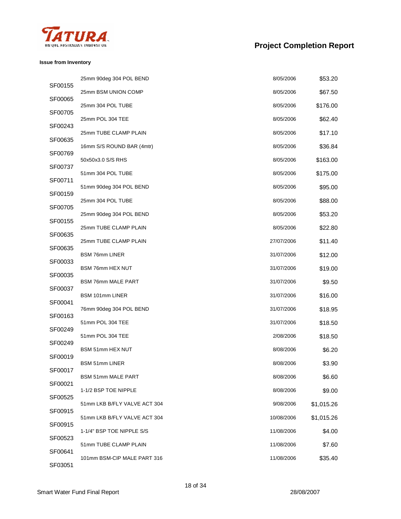

#### **Issue from Inventory**

|         | 25mm 90deg 304 POL BEND      | 8/05/2006  | \$53.20    |
|---------|------------------------------|------------|------------|
| SF00155 | 25mm BSM UNION COMP          | 8/05/2006  | \$67.50    |
| SF00065 | 25mm 304 POL TUBE            | 8/05/2006  | \$176.00   |
| SF00705 | 25mm POL 304 TEE             | 8/05/2006  | \$62.40    |
| SF00243 | 25mm TUBE CLAMP PLAIN        | 8/05/2006  | \$17.10    |
| SF00635 | 16mm S/S ROUND BAR (4mtr)    | 8/05/2006  | \$36.84    |
| SF00769 | 50x50x3.0 S/S RHS            | 8/05/2006  | \$163.00   |
| SF00737 | 51mm 304 POL TUBE            | 8/05/2006  | \$175.00   |
| SF00711 | 51mm 90deg 304 POL BEND      | 8/05/2006  | \$95.00    |
| SF00159 | 25mm 304 POL TUBE            | 8/05/2006  |            |
| SF00705 |                              |            | \$88.00    |
| SF00155 | 25mm 90deg 304 POL BEND      | 8/05/2006  | \$53.20    |
| SF00635 | 25mm TUBE CLAMP PLAIN        | 8/05/2006  | \$22.80    |
| SF00635 | 25mm TUBE CLAMP PLAIN        | 27/07/2006 | \$11.40    |
| SF00033 | <b>BSM 76mm LINER</b>        | 31/07/2006 | \$12.00    |
| SF00035 | BSM 76mm HEX NUT             | 31/07/2006 | \$19.00    |
| SF00037 | <b>BSM 76mm MALE PART</b>    | 31/07/2006 | \$9.50     |
| SF00041 | BSM 101mm LINER              | 31/07/2006 | \$16.00    |
| SF00163 | 76mm 90deg 304 POL BEND      | 31/07/2006 | \$18.95    |
| SF00249 | 51mm POL 304 TEE             | 31/07/2006 | \$18.50    |
|         | 51mm POL 304 TEE             | 2/08/2006  | \$18.50    |
| SF00249 | <b>BSM 51mm HEX NUT</b>      | 8/08/2006  | \$6.20     |
| SF00019 | <b>BSM 51mm LINER</b>        | 8/08/2006  | \$3.90     |
| SF00017 | <b>BSM 51mm MALE PART</b>    | 8/08/2006  | \$6.60     |
| SF00021 | 1-1/2 BSP TOE NIPPLE         | 8/08/2006  | \$9.00     |
| SF00525 | 51mm LKB B/FLY VALVE ACT 304 | 9/08/2006  | \$1,015.26 |
| SF00915 | 51mm LKB B/FLY VALVE ACT 304 | 10/08/2006 | \$1,015.26 |
| SF00915 | 1-1/4" BSP TOE NIPPLE S/S    | 11/08/2006 | \$4.00     |
| SF00523 | 51mm TUBE CLAMP PLAIN        | 11/08/2006 | \$7.60     |
| SF00641 | 101mm BSM-CIP MALE PART 316  | 11/08/2006 | \$35.40    |
| SF03051 |                              |            |            |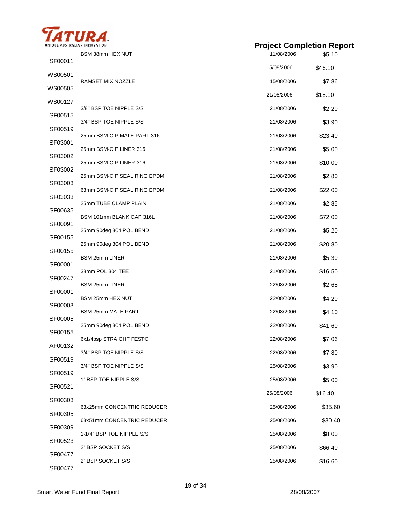

|                             | <b>Project Completion Report</b>                                                                                                                                                                                                                                                |                                                                                                                                          |
|-----------------------------|---------------------------------------------------------------------------------------------------------------------------------------------------------------------------------------------------------------------------------------------------------------------------------|------------------------------------------------------------------------------------------------------------------------------------------|
| BSM 38mm HEX NUT            | 11/08/2006                                                                                                                                                                                                                                                                      | \$5.10                                                                                                                                   |
|                             | 15/08/2006                                                                                                                                                                                                                                                                      | \$46.10                                                                                                                                  |
| RAMSET MIX NOZZLE           | 15/08/2006                                                                                                                                                                                                                                                                      | \$7.86                                                                                                                                   |
|                             | 21/08/2006                                                                                                                                                                                                                                                                      | \$18.10                                                                                                                                  |
| 3/8" BSP TOE NIPPLE S/S     | 21/08/2006                                                                                                                                                                                                                                                                      | \$2.20                                                                                                                                   |
| 3/4" BSP TOE NIPPLE S/S     | 21/08/2006                                                                                                                                                                                                                                                                      | \$3.90                                                                                                                                   |
| 25mm BSM-CIP MALE PART 316  | 21/08/2006                                                                                                                                                                                                                                                                      | \$23.40                                                                                                                                  |
| 25mm BSM-CIP LINER 316      | 21/08/2006                                                                                                                                                                                                                                                                      | \$5.00                                                                                                                                   |
| 25mm BSM-CIP LINER 316      | 21/08/2006                                                                                                                                                                                                                                                                      | \$10.00                                                                                                                                  |
| 25mm BSM-CIP SEAL RING EPDM | 21/08/2006                                                                                                                                                                                                                                                                      | \$2.80                                                                                                                                   |
| 63mm BSM-CIP SEAL RING EPDM | 21/08/2006                                                                                                                                                                                                                                                                      | \$22.00                                                                                                                                  |
| 25mm TUBE CLAMP PLAIN       | 21/08/2006                                                                                                                                                                                                                                                                      | \$2.85                                                                                                                                   |
| BSM 101mm BLANK CAP 316L    | 21/08/2006                                                                                                                                                                                                                                                                      | \$72.00                                                                                                                                  |
| 25mm 90deg 304 POL BEND     | 21/08/2006                                                                                                                                                                                                                                                                      | \$5.20                                                                                                                                   |
| 25mm 90deg 304 POL BEND     | 21/08/2006                                                                                                                                                                                                                                                                      | \$20.80                                                                                                                                  |
| <b>BSM 25mm LINER</b>       | 21/08/2006                                                                                                                                                                                                                                                                      | \$5.30                                                                                                                                   |
| 38mm POL 304 TEE            | 21/08/2006                                                                                                                                                                                                                                                                      | \$16.50                                                                                                                                  |
| <b>BSM 25mm LINER</b>       | 22/08/2006                                                                                                                                                                                                                                                                      | \$2.65                                                                                                                                   |
| BSM 25mm HEX NUT            | 22/08/2006                                                                                                                                                                                                                                                                      | \$4.20                                                                                                                                   |
| <b>BSM 25mm MALE PART</b>   |                                                                                                                                                                                                                                                                                 | \$4.10                                                                                                                                   |
|                             |                                                                                                                                                                                                                                                                                 | \$41.60                                                                                                                                  |
|                             |                                                                                                                                                                                                                                                                                 | \$7.06                                                                                                                                   |
|                             |                                                                                                                                                                                                                                                                                 | \$7.80                                                                                                                                   |
|                             |                                                                                                                                                                                                                                                                                 |                                                                                                                                          |
|                             |                                                                                                                                                                                                                                                                                 | \$3.90                                                                                                                                   |
|                             |                                                                                                                                                                                                                                                                                 | \$5.00                                                                                                                                   |
|                             |                                                                                                                                                                                                                                                                                 | \$16.40                                                                                                                                  |
|                             |                                                                                                                                                                                                                                                                                 | \$35.60                                                                                                                                  |
|                             |                                                                                                                                                                                                                                                                                 | \$30.40                                                                                                                                  |
|                             |                                                                                                                                                                                                                                                                                 | \$8.00                                                                                                                                   |
|                             | 25/08/2006                                                                                                                                                                                                                                                                      | \$66.40                                                                                                                                  |
| 2" BSP SOCKET S/S           | 25/08/2006                                                                                                                                                                                                                                                                      | \$16.60                                                                                                                                  |
|                             | INIQUE AUSTRALIAN INNOVATION<br>25mm 90deg 304 POL BEND<br>6x1/4bsp STRAIGHT FESTO<br>3/4" BSP TOE NIPPLE S/S<br>3/4" BSP TOE NIPPLE S/S<br>1" BSP TOE NIPPLE S/S<br>63x25mm CONCENTRIC REDUCER<br>63x51mm CONCENTRIC REDUCER<br>1-1/4" BSP TOE NIPPLE S/S<br>2" BSP SOCKET S/S | 22/08/2006<br>22/08/2006<br>22/08/2006<br>22/08/2006<br>25/08/2006<br>25/08/2006<br>25/08/2006<br>25/08/2006<br>25/08/2006<br>25/08/2006 |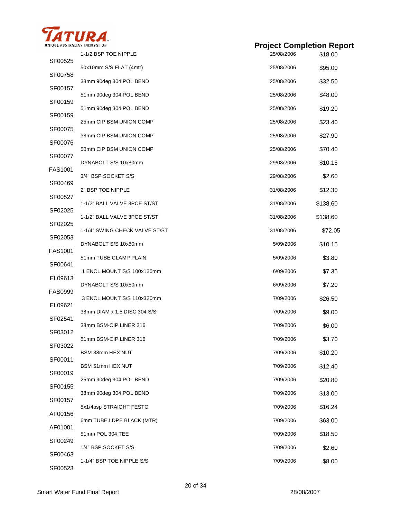

|                | 1-1/2 BSP TOE NIPPLE           | 25/08/2006 | \$18.00  |
|----------------|--------------------------------|------------|----------|
| SF00525        | 50x10mm S/S FLAT (4mtr)        | 25/08/2006 | \$95.00  |
| SF00758        | 38mm 90deg 304 POL BEND        | 25/08/2006 | \$32.50  |
| SF00157        | 51mm 90deg 304 POL BEND        | 25/08/2006 | \$48.00  |
| SF00159        | 51mm 90deg 304 POL BEND        | 25/08/2006 | \$19.20  |
| SF00159        | 25mm CIP BSM UNION COMP        | 25/08/2006 | \$23.40  |
| SF00075        | 38mm CIP BSM UNION COMP        | 25/08/2006 | \$27.90  |
| SF00076        | 50mm CIP BSM UNION COMP        | 25/08/2006 | \$70.40  |
| SF00077        | DYNABOLT S/S 10x80mm           | 29/08/2006 | \$10.15  |
| FAS1001        | 3/4" BSP SOCKET S/S            | 29/08/2006 | \$2.60   |
| SF00469        | 2" BSP TOE NIPPLE              | 31/08/2006 | \$12.30  |
| SF00527        | 1-1/2" BALL VALVE 3PCE ST/ST   | 31/08/2006 | \$138.60 |
| SF02025        | 1-1/2" BALL VALVE 3PCE ST/ST   | 31/08/2006 | \$138.60 |
| SF02025        | 1-1/4" SWING CHECK VALVE ST/ST | 31/08/2006 | \$72.05  |
| SF02053        | DYNABOLT S/S 10x80mm           | 5/09/2006  | \$10.15  |
| <b>FAS1001</b> | 51mm TUBE CLAMP PLAIN          | 5/09/2006  |          |
| SF00641        |                                |            | \$3.80   |
| EL09613        | 1 ENCL.MOUNT S/S 100x125mm     | 6/09/2006  | \$7.35   |
| <b>FAS0999</b> | DYNABOLT S/S 10x50mm           | 6/09/2006  | \$7.20   |
| EL09621        | 3 ENCL.MOUNT S/S 110x320mm     | 7/09/2006  | \$26.50  |
| SF02541        | 38mm DIAM x 1.5 DISC 304 S/S   | 7/09/2006  | \$9.00   |
| SF03012        | 38mm BSM-CIP LINER 316         | 7/09/2006  | \$6.00   |
| SF03022        | 51mm BSM-CIP LINER 316         | 7/09/2006  | \$3.70   |
| SF00011        | BSM 38mm HEX NUT               | 7/09/2006  | \$10.20  |
| SF00019        | BSM 51mm HEX NUT               | 7/09/2006  | \$12.40  |
| SF00155        | 25mm 90deg 304 POL BEND        | 7/09/2006  | \$20.80  |
| SF00157        | 38mm 90deg 304 POL BEND        | 7/09/2006  | \$13.00  |
| AF00156        | 8x1/4bsp STRAIGHT FESTO        | 7/09/2006  | \$16.24  |
| AF01001        | 6mm TUBE.LDPE BLACK (MTR)      | 7/09/2006  | \$63.00  |
| SF00249        | 51mm POL 304 TEE               | 7/09/2006  | \$18.50  |
| SF00463        | 1/4" BSP SOCKET S/S            | 7/09/2006  | \$2.60   |
| SF00523        | 1-1/4" BSP TOE NIPPLE S/S      | 7/09/2006  | \$8.00   |
|                |                                |            |          |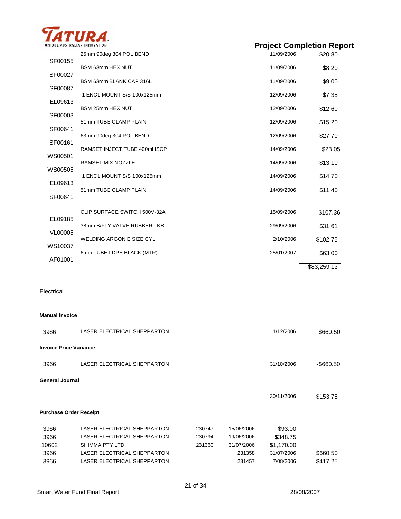

| UNIQUE AUSTRALIAN INNOVATION |                               |            | <b>Project Completion Report</b> |  |  |
|------------------------------|-------------------------------|------------|----------------------------------|--|--|
| SF00155                      | 25mm 90deg 304 POL BEND       | 11/09/2006 | \$20.80                          |  |  |
|                              | BSM 63mm HEX NUT              | 11/09/2006 | \$8.20                           |  |  |
| SF00027                      | BSM 63mm BLANK CAP 316L       | 11/09/2006 | \$9.00                           |  |  |
| SF00087                      | 1 ENCL.MOUNT S/S 100x125mm    | 12/09/2006 | \$7.35                           |  |  |
| EL09613                      | BSM 25mm HEX NUT              | 12/09/2006 | \$12.60                          |  |  |
| SF00003                      |                               |            |                                  |  |  |
| SF00641                      | 51mm TUBE CLAMP PLAIN         | 12/09/2006 | \$15.20                          |  |  |
| SF00161                      | 63mm 90deg 304 POL BEND       | 12/09/2006 | \$27.70                          |  |  |
| WS00501                      | RAMSET INJECT.TUBE 400ml ISCP | 14/09/2006 | \$23.05                          |  |  |
|                              | <b>RAMSET MIX NOZZLE</b>      | 14/09/2006 | \$13.10                          |  |  |
| WS00505                      | 1 ENCL.MOUNT S/S 100x125mm    | 14/09/2006 | \$14.70                          |  |  |
| EL09613                      | 51mm TUBE CLAMP PLAIN         | 14/09/2006 | \$11.40                          |  |  |
| SF00641                      |                               |            |                                  |  |  |
|                              | CLIP SURFACE SWITCH 500V-32A  | 15/09/2006 | \$107.36                         |  |  |

38mm B/FLY VALVE RUBBER LKB 29/09/2006 \$31.61

WELDING ARGON E SIZE CYL. 2/10/2006 \$102.75

6mm TUBE.LDPE BLACK (MTR) 25/01/2007 \$63.00

Electrical

EL09185

VL00005

WS10037

AF01001

| <b>Invoice Price Variance</b><br>LASER ELECTRICAL SHEPPARTON<br>31/10/2006<br>3966<br><b>General Journal</b><br>30/11/2006<br>\$153.75<br><b>Purchase Order Receipt</b><br>LASER ELECTRICAL SHEPPARTON<br>3966<br>230747<br>15/06/2006<br>\$93.00<br>LASER ELECTRICAL SHEPPARTON<br>3966<br>230794<br>19/06/2006<br>\$348.75<br><b>SHIMMA PTY LTD</b><br>10602<br>231360<br>31/07/2006<br>\$1,170.00<br>LASER ELECTRICAL SHEPPARTON<br>31/07/2006<br>\$660.50<br>3966<br>231358<br>LASER ELECTRICAL SHEPPARTON<br>7/08/2006<br>3966<br>231457<br>\$417.25 | 3966 | LASER ELECTRICAL SHEPPARTON |  | 1/12/2006 | \$660.50  |
|-----------------------------------------------------------------------------------------------------------------------------------------------------------------------------------------------------------------------------------------------------------------------------------------------------------------------------------------------------------------------------------------------------------------------------------------------------------------------------------------------------------------------------------------------------------|------|-----------------------------|--|-----------|-----------|
|                                                                                                                                                                                                                                                                                                                                                                                                                                                                                                                                                           |      |                             |  |           |           |
|                                                                                                                                                                                                                                                                                                                                                                                                                                                                                                                                                           |      |                             |  |           | -\$660.50 |
|                                                                                                                                                                                                                                                                                                                                                                                                                                                                                                                                                           |      |                             |  |           |           |
|                                                                                                                                                                                                                                                                                                                                                                                                                                                                                                                                                           |      |                             |  |           |           |
|                                                                                                                                                                                                                                                                                                                                                                                                                                                                                                                                                           |      |                             |  |           |           |
|                                                                                                                                                                                                                                                                                                                                                                                                                                                                                                                                                           |      |                             |  |           |           |
|                                                                                                                                                                                                                                                                                                                                                                                                                                                                                                                                                           |      |                             |  |           |           |
|                                                                                                                                                                                                                                                                                                                                                                                                                                                                                                                                                           |      |                             |  |           |           |
|                                                                                                                                                                                                                                                                                                                                                                                                                                                                                                                                                           |      |                             |  |           |           |
|                                                                                                                                                                                                                                                                                                                                                                                                                                                                                                                                                           |      |                             |  |           |           |

\$83,259.13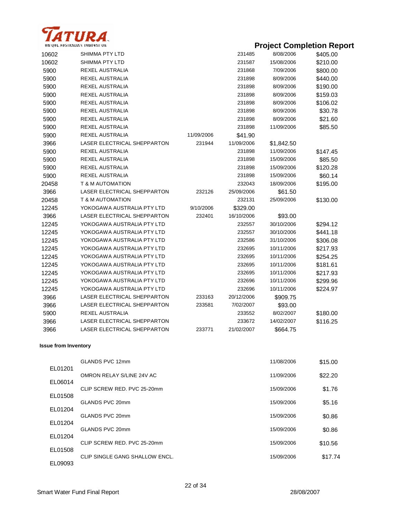

| 10602 | SHIMMA PTY LTD              |            | 231485     | 8/08/2006  | \$405.00 |
|-------|-----------------------------|------------|------------|------------|----------|
| 10602 | SHIMMA PTY LTD              |            | 231587     | 15/08/2006 | \$210.00 |
| 5900  | REXEL AUSTRALIA             |            | 231868     | 7/09/2006  | \$800.00 |
| 5900  | REXEL AUSTRALIA             |            | 231898     | 8/09/2006  | \$440.00 |
| 5900  | REXEL AUSTRALIA             |            | 231898     | 8/09/2006  | \$190.00 |
| 5900  | REXEL AUSTRALIA             |            | 231898     | 8/09/2006  | \$159.03 |
| 5900  | REXEL AUSTRALIA             |            | 231898     | 8/09/2006  | \$106.02 |
| 5900  | REXEL AUSTRALIA             |            | 231898     | 8/09/2006  | \$30.78  |
| 5900  | REXEL AUSTRALIA             |            | 231898     | 8/09/2006  | \$21.60  |
| 5900  | REXEL AUSTRALIA             |            | 231898     | 11/09/2006 | \$85.50  |
| 5900  | REXEL AUSTRALIA             | 11/09/2006 | \$41.90    |            |          |
| 3966  | LASER ELECTRICAL SHEPPARTON | 231944     | 11/09/2006 | \$1,842.50 |          |
| 5900  | REXEL AUSTRALIA             |            | 231898     | 11/09/2006 | \$147.45 |
| 5900  | REXEL AUSTRALIA             |            | 231898     | 15/09/2006 | \$85.50  |
| 5900  | REXEL AUSTRALIA             |            | 231898     | 15/09/2006 | \$120.28 |
| 5900  | REXEL AUSTRALIA             |            | 231898     | 15/09/2006 | \$60.14  |
| 20458 | <b>T &amp; M AUTOMATION</b> |            | 232043     | 18/09/2006 | \$195.00 |
| 3966  | LASER ELECTRICAL SHEPPARTON | 232126     | 25/09/2006 | \$61.50    |          |
| 20458 | <b>T &amp; M AUTOMATION</b> |            | 232131     | 25/09/2006 | \$130.00 |
| 12245 | YOKOGAWA AUSTRALIA PTY LTD  | 9/10/2006  | \$329.00   |            |          |
| 3966  | LASER ELECTRICAL SHEPPARTON | 232401     | 16/10/2006 | \$93.00    |          |
| 12245 | YOKOGAWA AUSTRALIA PTY LTD  |            | 232557     | 30/10/2006 | \$294.12 |
| 12245 | YOKOGAWA AUSTRALIA PTY LTD  |            | 232557     | 30/10/2006 | \$441.18 |
| 12245 | YOKOGAWA AUSTRALIA PTY LTD  |            | 232586     | 31/10/2006 | \$306.08 |
| 12245 | YOKOGAWA AUSTRALIA PTY LTD  |            | 232695     | 10/11/2006 | \$217.93 |
| 12245 | YOKOGAWA AUSTRALIA PTY LTD  |            | 232695     | 10/11/2006 | \$254.25 |
| 12245 | YOKOGAWA AUSTRALIA PTY LTD  |            | 232695     | 10/11/2006 | \$181.61 |
| 12245 | YOKOGAWA AUSTRALIA PTY LTD  |            | 232695     | 10/11/2006 | \$217.93 |
| 12245 | YOKOGAWA AUSTRALIA PTY LTD  |            | 232696     | 10/11/2006 | \$299.96 |
| 12245 | YOKOGAWA AUSTRALIA PTY LTD  |            | 232696     | 10/11/2006 | \$224.97 |
| 3966  | LASER ELECTRICAL SHEPPARTON | 233163     | 20/12/2006 | \$909.75   |          |
| 3966  | LASER ELECTRICAL SHEPPARTON | 233581     | 7/02/2007  | \$93.00    |          |
| 5900  | REXEL AUSTRALIA             |            | 233552     | 8/02/2007  | \$180.00 |
| 3966  | LASER ELECTRICAL SHEPPARTON |            | 233672     | 14/02/2007 | \$116.25 |
| 3966  | LASER ELECTRICAL SHEPPARTON | 233771     | 21/02/2007 | \$664.75   |          |

#### **Issue from Inventory**

|         | GLANDS PVC 12mm                | 11/08/2006 | \$15.00 |
|---------|--------------------------------|------------|---------|
| EL01201 | OMRON RELAY S/LINE 24V AC      | 11/09/2006 | \$22.20 |
| EL06014 | CLIP SCREW RED. PVC 25-20mm    | 15/09/2006 | \$1.76  |
| EL01508 | GLANDS PVC 20mm                | 15/09/2006 | \$5.16  |
| EL01204 | GLANDS PVC 20mm                | 15/09/2006 | \$0.86  |
| EL01204 | GLANDS PVC 20mm                | 15/09/2006 | \$0.86  |
| EL01204 | CLIP SCREW RED. PVC 25-20mm    | 15/09/2006 | \$10.56 |
| EL01508 | CLIP SINGLE GANG SHALLOW ENCL. | 15/09/2006 | \$17.74 |
| EL09093 |                                |            |         |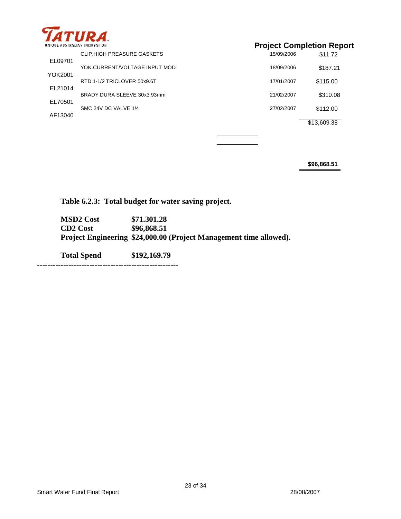

| ----------<br>UNIQUE AUSTRALIAN INNOVATION. |                               | <b>Project Completion Report</b> |             |  |
|---------------------------------------------|-------------------------------|----------------------------------|-------------|--|
|                                             | CLIP.HIGH PREASURE GASKETS    | 15/09/2006                       | \$11.72     |  |
| EL09701                                     | YOK.CURRENT/VOLTAGE INPUT MOD | 18/09/2006                       | \$187.21    |  |
| YOK2001                                     | RTD 1-1/2 TRICLOVER 50x9.6T   | 17/01/2007                       | \$115.00    |  |
| EL21014                                     |                               |                                  |             |  |
| EL70501                                     | BRADY DURA SLEEVE 30x3.93mm   | 21/02/2007                       | \$310.08    |  |
|                                             | SMC 24V DC VALVE 1/4          | 27/02/2007                       | \$112.00    |  |
| AF13040                                     |                               |                                  | \$13,609.38 |  |

**\$96,868.51** 

**Table 6.2.3: Total budget for water saving project.** 

**MSD2 Cost \$71.301.28 CD2 Cost \$96,868.51 Project Engineering \$24,000.00 (Project Management time allowed).** 

**Total Spend \$192,169.79 ------------------------------------------------------**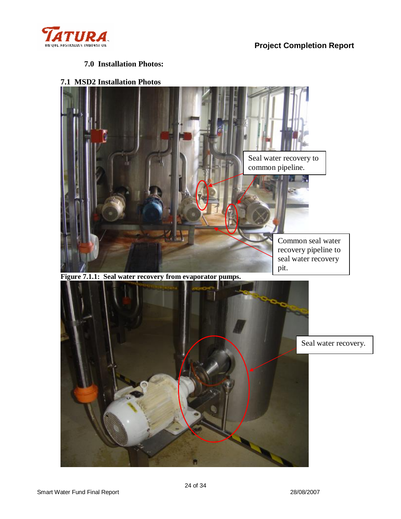

### **7.0 Installation Photos:**

**7.1 MSD2 Installation Photos** 



**Figure 7.1.1: Seal water recovery from evaporator pumps.** 

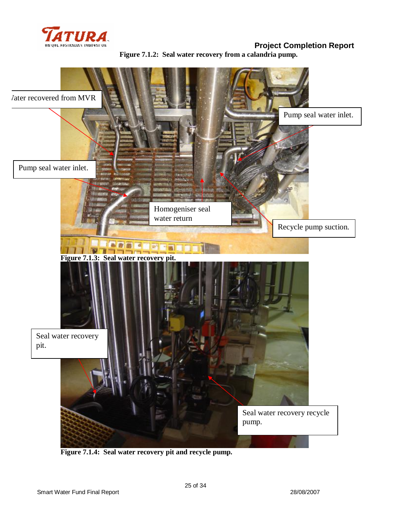

**Project Completion Report Figure 7.1.2: Seal water recovery from a calandria pump.** 



**Figure 7.1.4: Seal water recovery pit and recycle pump.**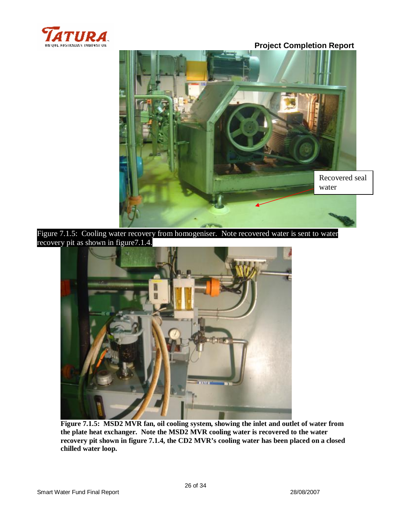



Figure 7.1.5: Cooling water recovery from homogeniser. Note recovered water is sent to water recovery pit as shown in figure7.1.4.



**Figure 7.1.5: MSD2 MVR fan, oil cooling system, showing the inlet and outlet of water from the plate heat exchanger. Note the MSD2 MVR cooling water is recovered to the water recovery pit shown in figure 7.1.4, the CD2 MVR's cooling water has been placed on a closed chilled water loop.**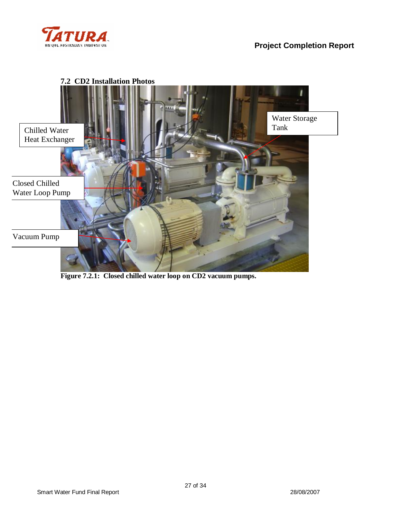



**Figure 7.2.1: Closed chilled water loop on CD2 vacuum pumps.**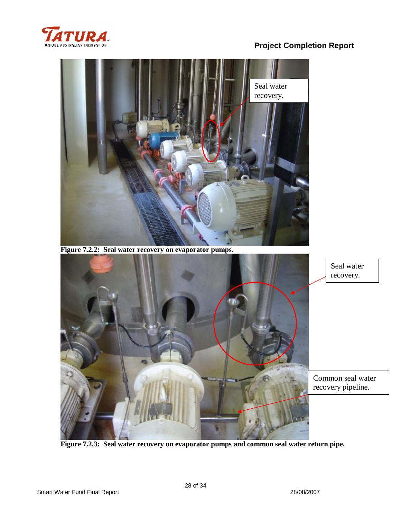



**Figure 7.2.2: Seal water recovery on evaporator pumps.** 



**Figure 7.2.3: Seal water recovery on evaporator pumps and common seal water return pipe.**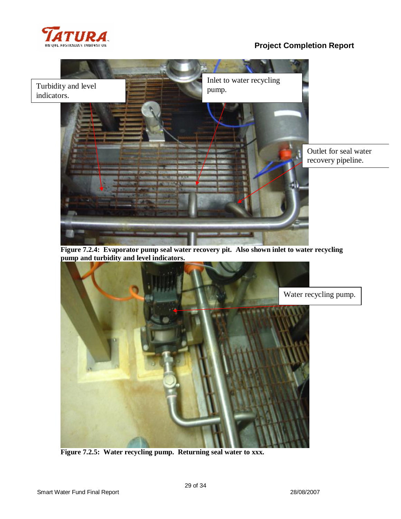



**Figure 7.2.4: Evaporator pump seal water recovery pit. Also shown inlet to water recycling pump and turbidity and level indicators.** 



**Figure 7.2.5: Water recycling pump. Returning seal water to xxx.**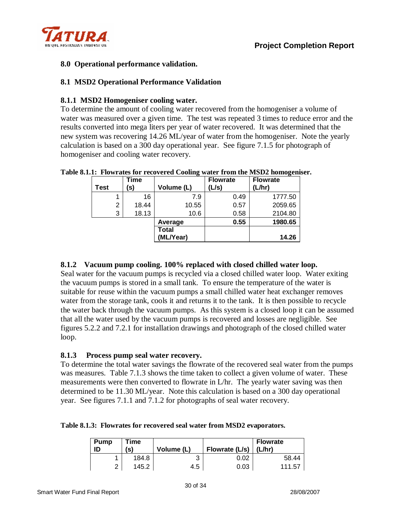

## **8.0 Operational performance validation.**

### **8.1 MSD2 Operational Performance Validation**

### **8.1.1 MSD2 Homogeniser cooling water.**

To determine the amount of cooling water recovered from the homogeniser a volume of water was measured over a given time. The test was repeated 3 times to reduce error and the results converted into mega liters per year of water recovered. It was determined that the new system was recovering 14.26 ML/year of water from the homogeniser. Note the yearly calculation is based on a 300 day operational year. See figure 7.1.5 for photograph of homogeniser and cooling water recovery.

|             |   | Time  |            | <b>Flowrate</b> | <b>Flowrate</b> |
|-------------|---|-------|------------|-----------------|-----------------|
| <b>Test</b> |   | (s)   | Volume (L) | (L/s)           | (L/hr)          |
|             |   | 16    | 7.9        | 0.49            | 1777.50         |
|             | 2 | 18.44 | 10.55      | 0.57            | 2059.65         |
|             | 3 | 18.13 | 10.6       | 0.58            | 2104.80         |
|             |   |       | Average    | 0.55            | 1980.65         |
|             |   |       | Total      |                 |                 |
|             |   |       | (ML/Year)  |                 | 14.26           |

#### **Table 8.1.1: Flowrates for recovered Cooling water from the MSD2 homogeniser.**

### **8.1.2 Vacuum pump cooling. 100% replaced with closed chilled water loop.**

Seal water for the vacuum pumps is recycled via a closed chilled water loop. Water exiting the vacuum pumps is stored in a small tank. To ensure the temperature of the water is suitable for reuse within the vacuum pumps a small chilled water heat exchanger removes water from the storage tank, cools it and returns it to the tank. It is then possible to recycle the water back through the vacuum pumps. As this system is a closed loop it can be assumed that all the water used by the vacuum pumps is recovered and losses are negligible. See figures 5.2.2 and 7.2.1 for installation drawings and photograph of the closed chilled water loop.

### **8.1.3 Process pump seal water recovery.**

To determine the total water savings the flowrate of the recovered seal water from the pumps was measures. Table 7.1.3 shows the time taken to collect a given volume of water. These measurements were then converted to flowrate in L/hr. The yearly water saving was then determined to be 11.30 ML/year. Note this calculation is based on a 300 day operational year. See figures 7.1.1 and 7.1.2 for photographs of seal water recovery.

#### **Table 8.1.3: Flowrates for recovered seal water from MSD2 evaporators.**

| Pump<br>ID | Time<br>(s) | Volume (L) | Flowrate (L/s) | <b>Flowrate</b><br>(L/hr) |
|------------|-------------|------------|----------------|---------------------------|
|            | 184.8       |            | 0.02           | 58.44                     |
| $\sim$     | 145.2       | 4.5        | 0.03           | 111.57                    |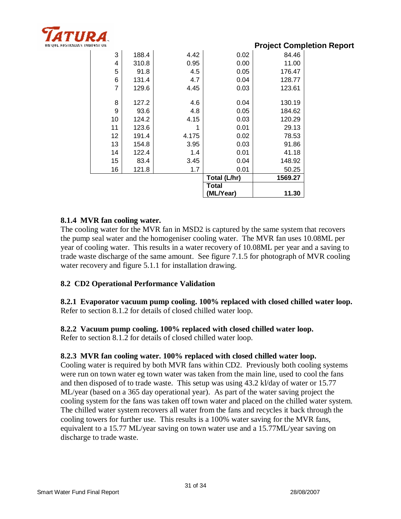

| MUTON. |    |       |       |              |         | <b>Project Completion Report</b> |
|--------|----|-------|-------|--------------|---------|----------------------------------|
|        | 3  | 188.4 | 4.42  | 0.02         | 84.46   |                                  |
|        | 4  | 310.8 | 0.95  | 0.00         | 11.00   |                                  |
|        | 5  | 91.8  | 4.5   | 0.05         | 176.47  |                                  |
|        | 6  | 131.4 | 4.7   | 0.04         | 128.77  |                                  |
|        | 7  | 129.6 | 4.45  | 0.03         | 123.61  |                                  |
|        |    |       |       |              |         |                                  |
|        | 8  | 127.2 | 4.6   | 0.04         | 130.19  |                                  |
|        | 9  | 93.6  | 4.8   | 0.05         | 184.62  |                                  |
|        | 10 | 124.2 | 4.15  | 0.03         | 120.29  |                                  |
|        | 11 | 123.6 |       | 0.01         | 29.13   |                                  |
|        | 12 | 191.4 | 4.175 | 0.02         | 78.53   |                                  |
|        | 13 | 154.8 | 3.95  | 0.03         | 91.86   |                                  |
|        | 14 | 122.4 | 1.4   | 0.01         | 41.18   |                                  |
|        | 15 | 83.4  | 3.45  | 0.04         | 148.92  |                                  |
|        | 16 | 121.8 | 1.7   | 0.01         | 50.25   |                                  |
|        |    |       |       | Total (L/hr) | 1569.27 |                                  |
|        |    |       |       | Total        |         |                                  |
|        |    |       |       | (ML/Year)    | 11.30   |                                  |

## **8.1.4 MVR fan cooling water.**

The cooling water for the MVR fan in MSD2 is captured by the same system that recovers the pump seal water and the homogeniser cooling water. The MVR fan uses 10.08ML per year of cooling water. This results in a water recovery of 10.08ML per year and a saving to trade waste discharge of the same amount. See figure 7.1.5 for photograph of MVR cooling water recovery and figure 5.1.1 for installation drawing.

## **8.2 CD2 Operational Performance Validation**

**8.2.1 Evaporator vacuum pump cooling. 100% replaced with closed chilled water loop.**  Refer to section 8.1.2 for details of closed chilled water loop.

### **8.2.2 Vacuum pump cooling. 100% replaced with closed chilled water loop.**

Refer to section 8.1.2 for details of closed chilled water loop.

### **8.2.3 MVR fan cooling water. 100% replaced with closed chilled water loop.**

Cooling water is required by both MVR fans within CD2. Previously both cooling systems were run on town water eg town water was taken from the main line, used to cool the fans and then disposed of to trade waste. This setup was using 43.2 kl/day of water or 15.77 ML/year (based on a 365 day operational year). As part of the water saving project the cooling system for the fans was taken off town water and placed on the chilled water system. The chilled water system recovers all water from the fans and recycles it back through the cooling towers for further use. This results is a 100% water saving for the MVR fans, equivalent to a 15.77 ML/year saving on town water use and a 15.77ML/year saving on discharge to trade waste.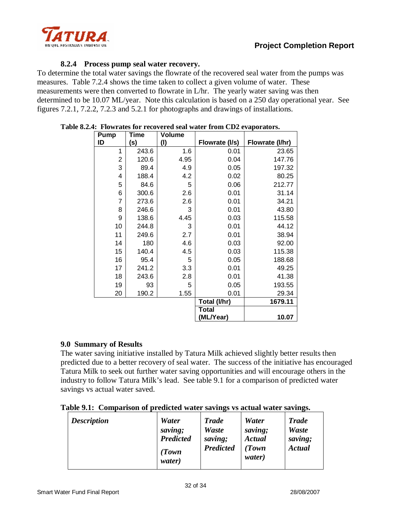

## **8.2.4 Process pump seal water recovery.**

To determine the total water savings the flowrate of the recovered seal water from the pumps was measures. Table 7.2.4 shows the time taken to collect a given volume of water. These measurements were then converted to flowrate in L/hr. The yearly water saving was then determined to be 10.07 ML/year. Note this calculation is based on a 250 day operational year. See figures 7.2.1, 7.2.2, 7.2.3 and 5.2.1 for photographs and drawings of installations.

| <b>Pump</b>    | <b>Time</b> | Volume |                |                 |
|----------------|-------------|--------|----------------|-----------------|
| ID             | (s)         | (1)    | Flowrate (I/s) | Flowrate (I/hr) |
| 1              | 243.6       | 1.6    | 0.01           | 23.65           |
| 2              | 120.6       | 4.95   | 0.04           | 147.76          |
| 3              | 89.4        | 4.9    | 0.05           | 197.32          |
| 4              | 188.4       | 4.2    | 0.02           | 80.25           |
| 5              | 84.6        | 5      | 0.06           | 212.77          |
| 6              | 300.6       | 2.6    | 0.01           | 31.14           |
| $\overline{7}$ | 273.6       | 2.6    | 0.01           | 34.21           |
| 8              | 246.6       | 3      | 0.01           | 43.80           |
| 9              | 138.6       | 4.45   | 0.03           | 115.58          |
| 10             | 244.8       | 3      | 0.01           | 44.12           |
| 11             | 249.6       | 2.7    | 0.01           | 38.94           |
| 14             | 180         | 4.6    | 0.03           | 92.00           |
| 15             | 140.4       | 4.5    | 0.03           | 115.38          |
| 16             | 95.4        | 5      | 0.05           | 188.68          |
| 17             | 241.2       | 3.3    | 0.01           | 49.25           |
| 18             | 243.6       | 2.8    | 0.01           | 41.38           |
| 19             | 93          | 5      | 0.05           | 193.55          |
| 20             | 190.2       | 1.55   | 0.01           | 29.34           |
|                |             |        | Total (I/hr)   | 1679.11         |
|                |             |        | Total          |                 |
|                |             |        | (ML/Year)      | 10.07           |

#### **Table 8.2.4: Flowrates for recovered seal water from CD2 evaporators.**

### **9.0 Summary of Results**

The water saving initiative installed by Tatura Milk achieved slightly better results then predicted due to a better recovery of seal water. The success of the initiative has encouraged Tatura Milk to seek out further water saving opportunities and will encourage others in the industry to follow Tatura Milk's lead. See table 9.1 for a comparison of predicted water savings vs actual water saved.

#### **Table 9.1: Comparison of predicted water savings vs actual water savings.**

| Water<br><b>Description</b><br>saving;<br><b>Predicted</b><br>(Town<br>water) | <b>Trade</b><br>Waste<br>saving;<br><b>Predicted</b> | Water<br>saving;<br><b>Actual</b><br>Town<br>water) | <b>Trade</b><br><b>Waste</b><br>saving;<br><b>Actual</b> |
|-------------------------------------------------------------------------------|------------------------------------------------------|-----------------------------------------------------|----------------------------------------------------------|
|-------------------------------------------------------------------------------|------------------------------------------------------|-----------------------------------------------------|----------------------------------------------------------|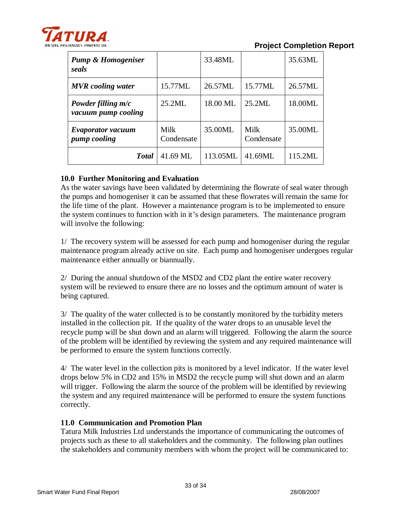

**Project Completion Report** 

| <b>Pump &amp; Homogeniser</b><br>seals      |                    | 33.48ML  |                    | 35.63ML |
|---------------------------------------------|--------------------|----------|--------------------|---------|
| <b>MVR</b> cooling water                    | 15.77ML            | 26.57ML  | 15.77ML            | 26.57ML |
| Powder filling $m/c$<br>vacuum pump cooling | 25.2ML             | 18.00 ML | 25.2ML             | 18.00ML |
| <b>Evaporator vacuum</b><br>pump cooling    | Milk<br>Condensate | 35.00ML  | Milk<br>Condensate | 35.00ML |
| <b>T</b> otal                               | 41.69 ML           | 113.05ML | 41.69ML            | 115.2ML |

## **10.0 Further Monitoring and Evaluation**

As the water savings have been validated by determining the flowrate of seal water through the pumps and homogeniser it can be assumed that these flowrates will remain the same for the life time of the plant. However a maintenance program is to be implemented to ensure the system continues to function with in it's design parameters. The maintenance program will involve the following:

1/ The recovery system will be assessed for each pump and homogeniser during the regular maintenance program already active on site. Each pump and homogeniser undergoes regular maintenance either annually or biannually.

2/ During the annual shutdown of the MSD2 and CD2 plant the entire water recovery system will be reviewed to ensure there are no losses and the optimum amount of water is being captured.

3/ The quality of the water collected is to be constantly monitored by the turbidity meters installed in the collection pit. If the quality of the water drops to an unusable level the recycle pump will be shut down and an alarm will triggered. Following the alarm the source of the problem will be identified by reviewing the system and any required maintenance will be performed to ensure the system functions correctly.

4/ The water level in the collection pits is monitored by a level indicator. If the water level drops below 5% in CD2 and 15% in MSD2 the recycle pump will shut down and an alarm will trigger. Following the alarm the source of the problem will be identified by reviewing the system and any required maintenance will be performed to ensure the system functions correctly.

## **11.0 Communication and Promotion Plan**

Tatura Milk Industries Ltd understands the importance of communicating the outcomes of projects such as these to all stakeholders and the community. The following plan outlines the stakeholders and community members with whom the project will be communicated to: